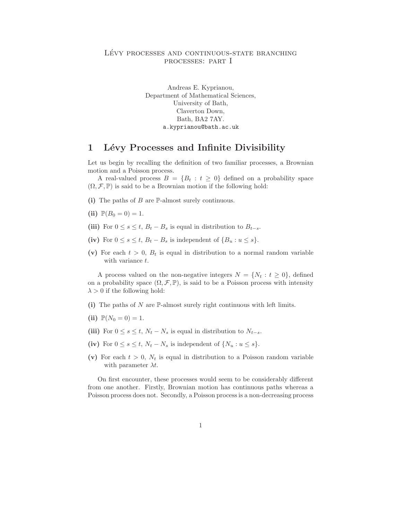### LÉVY PROCESSES AND CONTINUOUS-STATE BRANCHING processes: part I

Andreas E. Kyprianou, Department of Mathematical Sciences, University of Bath, Claverton Down, Bath, BA2 7AY. a.kyprianou@bath.ac.uk

## 1 Lévy Processes and Infinite Divisibility

Let us begin by recalling the definition of two familiar processes, a Brownian motion and a Poisson process.

A real-valued process  $B = \{B_t : t \geq 0\}$  defined on a probability space  $(\Omega, \mathcal{F}, \mathbb{P})$  is said to be a Brownian motion if the following hold:

(i) The paths of  $B$  are  $\mathbb P$ -almost surely continuous.

- (ii)  $\mathbb{P}(B_0 = 0) = 1$ .
- (iii) For  $0 \le s \le t$ ,  $B_t B_s$  is equal in distribution to  $B_{t-s}$ .
- (iv) For  $0 \leq s \leq t$ ,  $B_t B_s$  is independent of  $\{B_u : u \leq s\}.$
- (v) For each  $t > 0$ ,  $B_t$  is equal in distribution to a normal random variable with variance t.

A process valued on the non-negative integers  $N = \{N_t : t \geq 0\}$ , defined on a probability space  $(\Omega, \mathcal{F}, \mathbb{P})$ , is said to be a Poisson process with intensity  $\lambda > 0$  if the following hold:

- (i) The paths of N are  $\mathbb P$ -almost surely right continuous with left limits.
- (ii)  $\mathbb{P}(N_0 = 0) = 1$ .
- (iii) For  $0 \le s \le t$ ,  $N_t N_s$  is equal in distribution to  $N_{t-s}$ .
- (iv) For  $0 \le s \le t$ ,  $N_t N_s$  is independent of  $\{N_u : u \le s\}.$
- (v) For each  $t > 0$ ,  $N_t$  is equal in distribution to a Poisson random variable with parameter  $\lambda t$ .

On first encounter, these processes would seem to be considerably different from one another. Firstly, Brownian motion has continuous paths whereas a Poisson process does not. Secondly, a Poisson process is a non-decreasing process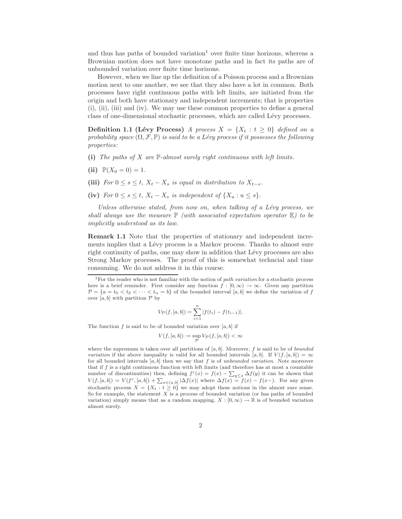and thus has paths of bounded variation<sup>1</sup> over finite time horizons, whereas a Brownian motion does not have monotone paths and in fact its paths are of unbounded variation over finite time horizons.

However, when we line up the definition of a Poisson process and a Brownian motion next to one another, we see that they also have a lot in common. Both processes have right continuous paths with left limits, are initiated from the origin and both have stationary and independent increments; that is properties (i), (ii), (iii) and (iv). We may use these common properties to define a general class of one-dimensional stochastic processes, which are called Lévy processes.

**Definition 1.1 (Lévy Process)** *A process*  $X = \{X_t : t \geq 0\}$  *defined on a probability space*  $(\Omega, \mathcal{F}, \mathbb{P})$  *is said to be a Lévy process if it possesses the following properties:*

- (i) *The paths of* X *are* P*-almost surely right continuous with left limits.*
- (ii)  $\mathbb{P}(X_0 = 0) = 1$ .
- (iii) *For*  $0 \le s \le t$ ,  $X_t X_s$  *is equal in distribution to*  $X_{t-s}$ .
- (iv) *For*  $0 \leq s \leq t$ ,  $X_t X_s$  *is independent of*  $\{X_u : u \leq s\}$ .

*Unless otherwise stated, from now on, when talking of a Lévy process, we shall always use the measure*  $\mathbb{P}$  *(with associated expectation operator*  $\mathbb{E}$ *) to be implicitly understood as its law.*

Remark 1.1 Note that the properties of stationary and independent increments implies that a Lévy process is a Markov process. Thanks to almost sure right continuity of paths, one may show in addition that Lévy processes are also Strong Markov processes. The proof of this is somewhat techncial and time consuming. We do not address it in this course.

$$
V_{\mathcal{P}}(f,[a,b]) = \sum_{i=1}^{n} |f(t_i) - f(t_{i-1})|.
$$

The function f is said to be of bounded variation over  $[a, b]$  if

$$
V(f,[a,b]):=\sup_{\mathcal{P}}V_{\mathcal{P}}(f,[a,b])<\infty
$$

where the supremum is taken over all partitions of  $[a, b]$ . Moreover, f is said to be of *bounded variation* if the above inequality is valid for all bounded intervals [a, b]. If  $V(f, [a, b]) = \infty$ for all bounded intervals  $[a, b]$  then we say that f is of unbounded variation. Note moreover that if  $f$  is a right continuous function with left limits (and therefore has at most a countable number of discontinuities) then, defining  $f^c(x) = f(x) - \sum_{y \leq x} \Delta f(y)$  it can be shown that  $V(f, [a, b]) = V(f^c, [a, b]) + \sum_{x \in (a, b]} |\Delta f(x)|$  where  $\Delta f(x) = f(x) - f(x)$ . For any given stochastic process  $X = \{X_t : t \geq 0\}$  we may adopt these notions in the almost sure sense. So for example, the statement  $X$  is a process of bounded variation (or has paths of bounded variation) simply means that as a random mapping,  $X : [0, \infty) \to \mathbb{R}$  is of bounded variation almost surely.

<sup>&</sup>lt;sup>1</sup>For the reader who is not familiar with the notion of path variation for a stochastic process here is a brief reminder. First consider any function  $f : [0, \infty) \to \infty$ . Given any partition  $\mathcal{P} = \{a = t_0 < t_2 < \cdots < t_n = b\}$  of the bounded interval  $[a, b]$  we define the variation of f over  $[a, b]$  with partition  $P$  by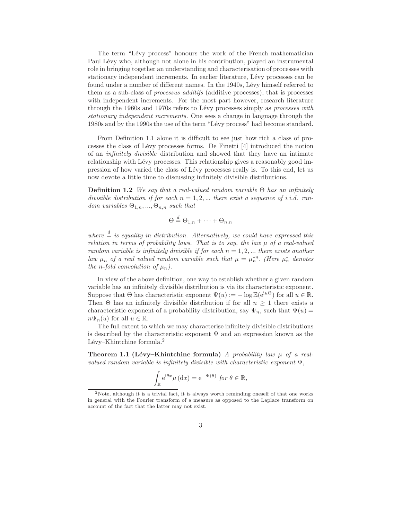The term "Lévy process" honours the work of the French mathematician Paul Lévy who, although not alone in his contribution, played an instrumental role in bringing together an understanding and characterisation of processes with stationary independent increments. In earlier literature, Lévy processes can be found under a number of different names. In the 1940s, Lévy himself referred to them as a sub-class of *processus additifs* (additive processes), that is processes with independent increments. For the most part however, research literature through the 1960s and 1970s refers to Lévy processes simply as *processes with stationary independent increments.* One sees a change in language through the 1980s and by the 1990s the use of the term "Lévy process" had become standard.

From Definition 1.1 alone it is difficult to see just how rich a class of processes the class of Lévy processes forms. De Finetti [4] introduced the notion of an *infinitely divisible* distribution and showed that they have an intimate relationship with Lévy processes. This relationship gives a reasonably good impression of how varied the class of L´evy processes really is. To this end, let us now devote a little time to discussing infinitely divisible distributions.

Definition 1.2 *We say that a real-valued random variable* Θ *has an infinitely divisible distribution if for each*  $n = 1, 2, ...$  *there exist a sequence of i.i.d. random variables*  $\Theta_{1,n},...,\Theta_{n,n}$  *such that* 

$$
\Theta \stackrel{d}{=} \Theta_{1,n} + \cdots + \Theta_{n,n}
$$

*where*  $\frac{d}{dx}$  *is equality in distribution. Alternatively, we could have expressed this relation in terms of probability laws. That is to say, the law*  $\mu$  *of a real-valued random variable is infinitely divisible if for each*  $n = 1, 2, ...$  *there exists another law*  $\mu_n$  *of a real valued random variable such that*  $\mu = \mu_n^{*n}$ . (Here  $\mu_n^{*}$  denotes *the n*-fold convolution of  $\mu_n$ ).

In view of the above definition, one way to establish whether a given random variable has an infinitely divisible distribution is via its characteristic exponent. Suppose that  $\Theta$  has characteristic exponent  $\Psi(u) := -\log \mathbb{E}(e^{iu\Theta})$  for all  $u \in \mathbb{R}$ . Then  $\Theta$  has an infinitely divisible distribution if for all  $n \geq 1$  there exists a characteristic exponent of a probability distribution, say  $\Psi_n$ , such that  $\Psi(u)$  =  $n\Psi_n(u)$  for all  $u \in \mathbb{R}$ .

The full extent to which we may characterise infinitely divisible distributions is described by the characteristic exponent  $\Psi$  and an expression known as the Lévy–Khintchine formula.<sup>2</sup>

**Theorem 1.1 (Lévy–Khintchine formula)** *A probability law*  $\mu$  of a real*valued random variable is infinitely divisible with characteristic exponent* Ψ,

$$
\int_{\mathbb{R}} e^{i\theta x} \mu(dx) = e^{-\Psi(\theta)} \text{ for } \theta \in \mathbb{R},
$$

<sup>2</sup>Note, although it is a trivial fact, it is always worth reminding oneself of that one works in general with the Fourier transform of a measure as opposed to the Laplace transform on account of the fact that the latter may not exist.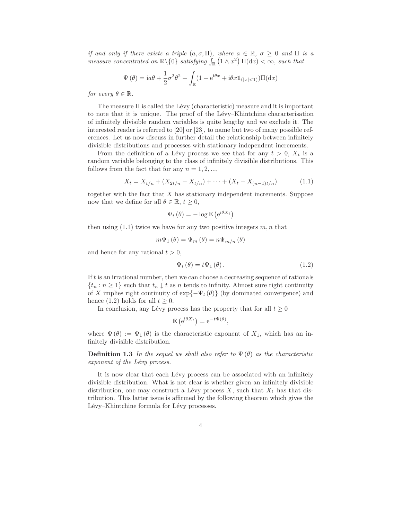*if and only if there exists a triple*  $(a, \sigma, \Pi)$ *, where*  $a \in \mathbb{R}$ *,*  $\sigma \geq 0$  *and*  $\Pi$  *is a measure concentrated on*  $\mathbb{R}\setminus\{0\}$  *satisfying*  $\int_{\mathbb{R}}(1 \wedge x^2) \Pi(dx) < \infty$ , *such that* 

$$
\Psi(\theta) = i\alpha\theta + \frac{1}{2}\sigma^2\theta^2 + \int_{\mathbb{R}} (1 - e^{i\theta x} + i\theta x \mathbf{1}_{(|x| < 1)}) \Pi(\mathrm{d}x)
$$

*for every*  $\theta \in \mathbb{R}$ *.* 

The measure  $\Pi$  is called the Lévy (characteristic) measure and it is important to note that it is unique. The proof of the Lévy–Khintchine characterisation of infinitely divisible random variables is quite lengthy and we exclude it. The interested reader is referred to [20] or [23], to name but two of many possible references. Let us now discuss in further detail the relationship between infinitely divisible distributions and processes with stationary independent increments.

From the definition of a Lévy process we see that for any  $t > 0$ ,  $X_t$  is a random variable belonging to the class of infinitely divisible distributions. This follows from the fact that for any  $n = 1, 2, \ldots$ ,

$$
X_t = X_{t/n} + (X_{2t/n} - X_{t/n}) + \dots + (X_t - X_{(n-1)t/n})
$$
\n(1.1)

together with the fact that  $X$  has stationary independent increments. Suppose now that we define for all  $\theta \in \mathbb{R}$ ,  $t \geq 0$ ,

$$
\Psi_t(\theta) = -\log \mathbb{E} \left( e^{i\theta X_t} \right)
$$

then using  $(1.1)$  twice we have for any two positive integers  $m, n$  that

$$
m\Psi_1(\theta) = \Psi_m(\theta) = n\Psi_{m/n}(\theta)
$$

and hence for any rational  $t > 0$ ,

$$
\Psi_t(\theta) = t\Psi_1(\theta). \tag{1.2}
$$

If  $t$  is an irrational number, then we can choose a decreasing sequence of rationals  $\{t_n : n \geq 1\}$  such that  $t_n \downarrow t$  as n tends to infinity. Almost sure right continuity of X implies right continuity of  $\exp\{-\Psi_t(\theta)\}\$  (by dominated convergence) and hence (1.2) holds for all  $t \geq 0$ .

In conclusion, any Lévy process has the property that for all  $t \geq 0$ 

$$
\mathbb{E}\left(e^{i\theta X_t}\right) = e^{-t\Psi(\theta)},
$$

where  $\Psi(\theta) := \Psi_1(\theta)$  is the characteristic exponent of  $X_1$ , which has an infinitely divisible distribution.

**Definition 1.3** In the sequel we shall also refer to  $\Psi(\theta)$  as the characteristic *exponent of the Lévy process.* 

It is now clear that each Lévy process can be associated with an infinitely divisible distribution. What is not clear is whether given an infinitely divisible distribution, one may construct a Lévy process  $X$ , such that  $X_1$  has that distribution. This latter issue is affirmed by the following theorem which gives the Lévy–Khintchine formula for Lévy processes.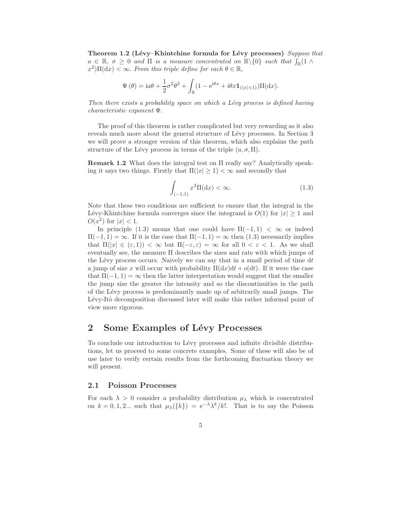Theorem 1.2 (Lévy–Khintchine formula for Lévy processes) *Suppose that*  $a \in \mathbb{R}, \sigma \geq 0$  and  $\Pi$  *is a measure concentrated on*  $\mathbb{R}\backslash\{0\}$  *such that*  $\int_{\mathbb{R}}(1 \wedge$  $(x^2) \Pi(dx) < \infty$ . *From this triple define for each*  $\theta \in \mathbb{R}$ ,

$$
\Psi(\theta) = i a \theta + \frac{1}{2} \sigma^2 \theta^2 + \int_{\mathbb{R}} (1 - e^{i\theta x} + i\theta x \mathbf{1}_{(|x| < 1)}) \Pi(dx).
$$

*Then there exists a probability space on which a Lévy process is defined having characteristic exponent* Ψ.

The proof of this theorem is rather complicated but very rewarding as it also reveals much more about the general structure of Lévy processes. In Section 3 we will prove a stronger version of this theorem, which also explains the path structure of the Lévy process in terms of the triple  $(a, \sigma, \Pi)$ .

Remark 1.2 What does the integral test on Π really say? Analytically speaking it says two things. Firstly that  $\Pi(|x| \geq 1) < \infty$  and secondly that

$$
\int_{(-1,1)} x^2 \Pi(\mathrm{d}x) < \infty. \tag{1.3}
$$

Note that these two conditions are sufficient to ensure that the integral in the Lévy-Khintchine formula converges since the integrand is  $O(1)$  for  $|x| \geq 1$  and  $O(x^2)$  for  $|x| < 1$ .

In principle (1.3) means that one could have  $\Pi(-1,1) < \infty$  or indeed  $\Pi(-1, 1) = \infty$ . If it is the case that  $\Pi(-1, 1) = \infty$  then (1.3) necessarily implies that  $\Pi(|x| \in (\varepsilon, 1)) < \infty$  but  $\Pi(-\varepsilon, \varepsilon) = \infty$  for all  $0 < \varepsilon < 1$ . As we shall eventually see, the measure  $\Pi$  describes the sizes and rate with which jumps of the Lévy process occurs. Naively we can say that in a small period of time  $dt$ a jump of size x will occur with probability  $\Pi(dx)dt + o(dt)$ . If it were the case that  $\Pi(-1, 1) = \infty$  then the latter interpretation would suggest that the smaller the jump size the greater the intensity and so the discontinuities in the path of the L´evy process is predominantly made up of arbitrarily small jumps. The Lévy-Itô decomposition discussed later will make this rather informal point of view more rigorous.

### 2 Some Examples of Lévy Processes

To conclude our introduction to Lévy processes and infinite divisible distributions, let us proceed to some concrete examples. Some of these will also be of use later to verify certain results from the forthcoming fluctuation theory we will present.

#### 2.1 Poisson Processes

For each  $\lambda > 0$  consider a probability distribution  $\mu_{\lambda}$  which is concentrated on  $k = 0, 1, 2...$  such that  $\mu_{\lambda}(\{k\}) = e^{-\lambda} \lambda^k / k!$ . That is to say the Poisson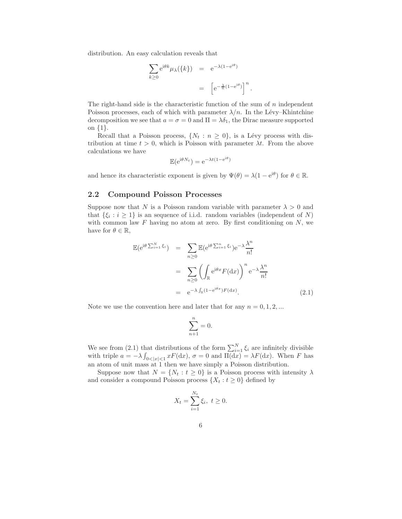distribution. An easy calculation reveals that

$$
\sum_{k\geq 0} e^{i\theta k} \mu_{\lambda}(\{k\}) = e^{-\lambda(1 - e^{i\theta})}
$$

$$
= \left[e^{-\frac{\lambda}{n}(1 - e^{i\theta})}\right]^{n}
$$

.

The right-hand side is the characteristic function of the sum of  $n$  independent Poisson processes, each of which with parameter  $\lambda/n$ . In the Lévy–Khintchine decomposition we see that  $a = \sigma = 0$  and  $\Pi = \lambda \delta_1$ , the Dirac measure supported on {1}.

Recall that a Poisson process,  $\{N_t : n \geq 0\}$ , is a Lévy process with distribution at time  $t > 0$ , which is Poisson with parameter  $\lambda t$ . From the above calculations we have

$$
\mathbb{E}(e^{i\theta N_t}) = e^{-\lambda t(1 - e^{i\theta})}
$$

and hence its characteristic exponent is given by  $\Psi(\theta) = \lambda(1 - e^{i\theta})$  for  $\theta \in \mathbb{R}$ .

#### 2.2 Compound Poisson Processes

Suppose now that N is a Poisson random variable with parameter  $\lambda > 0$  and that  $\{\xi_i : i \geq 1\}$  is an sequence of i.i.d. random variables (independent of N) with common law  $F$  having no atom at zero. By first conditioning on  $N$ , we have for  $\theta \in \mathbb{R}$ ,

$$
\mathbb{E}(\mathrm{e}^{\mathrm{i}\theta \sum_{i=1}^{N} \xi_i}) = \sum_{n\geq 0} \mathbb{E}(\mathrm{e}^{\mathrm{i}\theta \sum_{i=1}^{n} \xi_i}) \mathrm{e}^{-\lambda} \frac{\lambda^n}{n!}
$$

$$
= \sum_{n\geq 0} \left( \int_{\mathbb{R}} \mathrm{e}^{\mathrm{i}\theta x} F(\mathrm{d}x) \right)^n \mathrm{e}^{-\lambda} \frac{\lambda^n}{n!}
$$

$$
= \mathrm{e}^{-\lambda} \int_{\mathbb{R}} (1 - \mathrm{e}^{\mathrm{i}\theta x}) F(\mathrm{d}x). \tag{2.1}
$$

Note we use the convention here and later that for any  $n = 0, 1, 2, ...$ 

$$
\sum_{n+1}^{n} = 0.
$$

We see from (2.1) that distributions of the form  $\sum_{i=1}^{N} \xi_i$  are infinitely divisible with triple  $a = -\lambda \int_{0 < |x| < 1} x F(\mathrm{d}x)$ ,  $\sigma = 0$  and  $\Pi(\mathrm{d}x) = \lambda F(\mathrm{d}x)$ . When F has an atom of unit mass at 1 then we have simply a Poisson distribution.

Suppose now that  $N = \{N_t : t \geq 0\}$  is a Poisson process with intensity  $\lambda$ and consider a compound Poisson process  $\{X_t : t \geq 0\}$  defined by

$$
X_t = \sum_{i=1}^{N_t} \xi_i, \ t \ge 0.
$$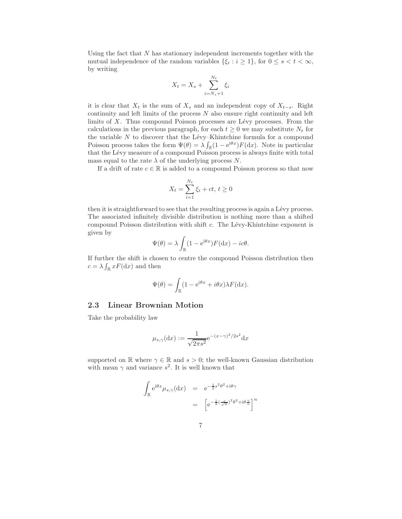Using the fact that  $N$  has stationary independent increments together with the mutual independence of the random variables  $\{\xi_i : i \geq 1\}$ , for  $0 \leq s < t < \infty$ , by writing

$$
X_t = X_s + \sum_{i=N_s+1}^{N_t} \xi_i
$$

it is clear that  $X_t$  is the sum of  $X_s$  and an independent copy of  $X_{t-s}$ . Right continuity and left limits of the process  $N$  also ensure right continuity and left limits of  $X$ . Thus compound Poisson processes are Lévy processes. From the calculations in the previous paragraph, for each  $t \geq 0$  we may substitute  $N_t$  for the variable  $N$  to discover that the Lévy–Khintchine formula for a compound Poisson process takes the form  $\Psi(\theta) = \lambda \int_{\mathbb{R}} (1 - e^{i\theta x}) F(dx)$ . Note in particular that the Lévy measure of a compound Poisson process is always finite with total mass equal to the rate  $\lambda$  of the underlying process N.

If a drift of rate  $c \in \mathbb{R}$  is added to a compound Poisson process so that now

$$
X_t = \sum_{i=1}^{N_t} \xi_i + ct, \, t \ge 0
$$

then it is straightforward to see that the resulting process is again a Lévy process. The associated infinitely divisible distribution is nothing more than a shifted compound Poisson distribution with shift  $c$ . The Lévy-Khintchine exponent is given by

$$
\Psi(\theta) = \lambda \int_{\mathbb{R}} (1 - e^{i\theta x}) F(dx) - ic\theta.
$$

If further the shift is chosen to centre the compound Poisson distribution then  $c = \lambda \int_{\mathbb{R}} x F(\mathrm{d}x)$  and then

$$
\Psi(\theta) = \int_{\mathbb{R}} (1 - e^{i\theta x} + i\theta x) \lambda F(\mathrm{d}x).
$$

#### 2.3 Linear Brownian Motion

Take the probability law

$$
\mu_{s,\gamma}(\mathrm{d}x) := \frac{1}{\sqrt{2\pi s^2}} e^{-(x-\gamma)^2/2s^2} \mathrm{d}x
$$

supported on R where  $\gamma \in \mathbb{R}$  and  $s > 0$ ; the well-known Gaussian distribution with mean  $\gamma$  and variance  $s^2$ . It is well known that

$$
\int_{\mathbb{R}} e^{i\theta x} \mu_{s,\gamma} (dx) = e^{-\frac{1}{2}s^2 \theta^2 + i\theta \gamma}
$$
\n
$$
= \left[ e^{-\frac{1}{2}(\frac{s}{\sqrt{n}})^2 \theta^2 + i\theta \frac{\gamma}{n}} \right]^n
$$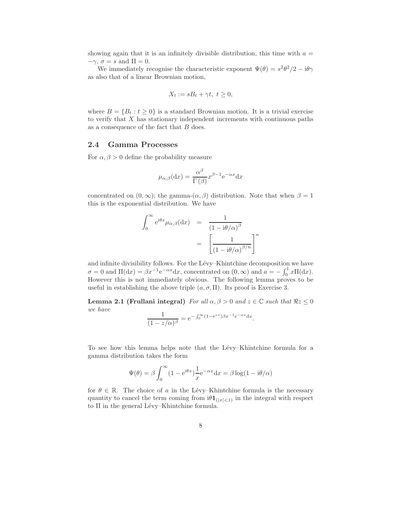showing again that it is an infinitely divisible distribution, this time with  $a =$  $-\gamma$ ,  $\sigma = s$  and  $\Pi = 0$ .

We immediately recognise the characteristic exponent  $\Psi(\theta) = s^2 \theta^2/2 - i\theta \gamma$ as also that of a linear Brownian motion,

$$
X_t := sB_t + \gamma t, \ t \ge 0,
$$

where  $B = \{B_t : t \geq 0\}$  is a standard Brownian motion. It is a trivial exercise to verify that  $X$  has stationary independent increments with continuous paths as a consequence of the fact that  $B$  does.

#### 2.4 Gamma Processes

For  $\alpha, \beta > 0$  define the probability measure

$$
\mu_{\alpha,\beta}(\mathrm{d}x) = \frac{\alpha^{\beta}}{\Gamma(\beta)} x^{\beta - 1} e^{-\alpha x} \mathrm{d}x
$$

concentrated on  $(0, \infty)$ ; the gamma- $(\alpha, \beta)$  distribution. Note that when  $\beta = 1$ this is the exponential distribution. We have

$$
\int_0^\infty e^{i\theta x} \mu_{\alpha,\beta}(\mathrm{d}x) = \frac{1}{(1 - i\theta/\alpha)^{\beta}}
$$

$$
= \left[\frac{1}{(1 - i\theta/\alpha)^{\beta/n}}\right]^n
$$

and infinite divisibility follows. For the Lévy–Khintchine decomposition we have  $\sigma = 0$  and  $\Pi(\mathrm{d}x) = \beta x^{-1} e^{-\alpha x} \mathrm{d}x$ , concentrated on  $(0, \infty)$  and  $a = -\int_0^1 x \Pi(\mathrm{d}x)$ . However this is not immediately obvious. The following lemma proves to be useful in establishing the above triple  $(a, \sigma, \Pi)$ . Its proof is Exercise 3.

**Lemma 2.1 (Frullani integral)** *For all*  $\alpha, \beta > 0$  *and*  $z \in \mathbb{C}$  *such that*  $\Re z \le 0$ *we have*

$$
\frac{1}{(1 - z/\alpha)^{\beta}} = e^{-\int_0^{\infty} (1 - e^{zx}) \beta x^{-1} e^{-\alpha x} dx}.
$$

To see how this lemma helps note that the Lévy–Khintchine formula for a gamma distribution takes the form

$$
\Psi(\theta) = \beta \int_0^\infty (1 - e^{i\theta x}) \frac{1}{x} e^{-\alpha x} dx = \beta \log(1 - i\theta/\alpha)
$$

for  $\theta \in \mathbb{R}$ . The choice of a in the Lévy–Khintchine formula is the necessary quantity to cancel the term coming from  $i\theta \mathbf{1}_{(|x|<1)}$  in the integral with respect to  $\Pi$  in the general Lévy–Khintchine formula.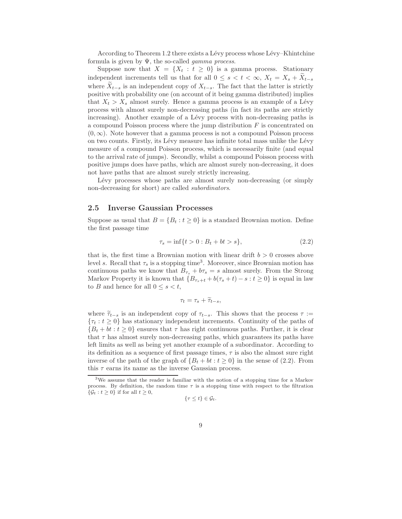According to Theorem 1.2 there exists a Lévy process whose Lévy–Khintchine formula is given by Ψ, the so-called *gamma process*.

Suppose now that  $X = \{X_t : t \geq 0\}$  is a gamma process. Stationary independent increments tell us that for all  $0 \leq s < t < \infty$ ,  $X_t = X_s + \widetilde{X}_{t-s}$ where  $\widetilde{X}_{t-s}$  is an independent copy of  $X_{t-s}$ . The fact that the latter is strictly positive with probability one (on account of it being gamma distributed) implies that  $X_t > X_s$  almost surely. Hence a gamma process is an example of a Lévy process with almost surely non-decreasing paths (in fact its paths are strictly increasing). Another example of a Lévy process with non-decreasing paths is a compound Poisson process where the jump distribution  $F$  is concentrated on  $(0, \infty)$ . Note however that a gamma process is not a compound Poisson process on two counts. Firstly, its L´evy measure has infinite total mass unlike the L´evy measure of a compound Poisson process, which is necessarily finite (and equal to the arrival rate of jumps). Secondly, whilst a compound Poisson process with positive jumps does have paths, which are almost surely non-decreasing, it does not have paths that are almost surely strictly increasing.

Lévy processes whose paths are almost surely non-decreasing (or simply non-decreasing for short) are called *subordinators*.

#### 2.5 Inverse Gaussian Processes

Suppose as usual that  $B = \{B_t : t \geq 0\}$  is a standard Brownian motion. Define the first passage time

$$
\tau_s = \inf\{t > 0 : B_t + bt > s\},\tag{2.2}
$$

that is, the first time a Brownian motion with linear drift  $b > 0$  crosses above level s. Recall that  $\tau_s$  is a stopping time<sup>3</sup>. Moreover, since Brownian motion has continuous paths we know that  $B_{\tau_s} + b\tau_s = s$  almost surely. From the Strong Markov Property it is known that  ${B_{\tau_s+t} + b(\tau_s+t) - s : t \geq 0}$  is equal in law to B and hence for all  $0 \leq s \leq t$ ,

$$
\tau_t = \tau_s + \widetilde{\tau}_{t-s},
$$

where  $\tilde{\tau}_{t-s}$  is an independent copy of  $\tau_{t-s}$ . This shows that the process  $\tau :=$  ${\tau_t : t \geq 0}$  has stationary independent increments. Continuity of the paths of  ${B_t + bt : t \ge 0}$  ensures that  $\tau$  has right continuous paths. Further, it is clear that  $\tau$  has almost surely non-decreasing paths, which guarantees its paths have left limits as well as being yet another example of a subordinator. According to its definition as a sequence of first passage times,  $\tau$  is also the almost sure right inverse of the path of the graph of  ${B_t + bt : t \ge 0}$  in the sense of (2.2). From this  $\tau$  earns its name as the inverse Gaussian process.

$$
\{\tau \leq t\} \in \mathcal{G}_t.
$$

<sup>3</sup>We assume that the reader is familiar with the notion of a stopping time for a Markov process. By definition, the random time  $\tau$  is a stopping time with respect to the filtration  $\{\mathcal{G}_t : t \geq 0\}$  if for all  $t \geq 0$ ,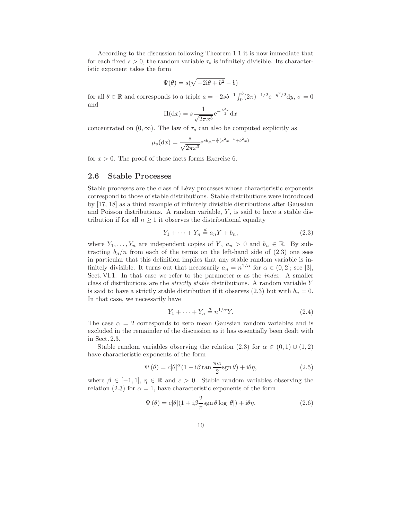According to the discussion following Theorem 1.1 it is now immediate that for each fixed  $s > 0$ , the random variable  $\tau_s$  is infinitely divisible. Its characteristic exponent takes the form

$$
\Psi(\theta) = s(\sqrt{-2i\theta + b^2} - b)
$$

for all  $\theta \in \mathbb{R}$  and corresponds to a triple  $a = -2sb^{-1} \int_0^b (2\pi)^{-1/2} e^{-y^2/2} dy$ ,  $\sigma = 0$ and

$$
\Pi(\mathrm{d}x) = s \frac{1}{\sqrt{2\pi x^3}} \mathrm{e}^{-\frac{b^2 x}{2}} \mathrm{d}x
$$

concentrated on  $(0, \infty)$ . The law of  $\tau_s$  can also be computed explicitly as

$$
\mu_s(\mathrm{d}x) = \frac{s}{\sqrt{2\pi x^3}} e^{sb} e^{-\frac{1}{2}(s^2 x^{-1} + b^2 x)}
$$

for  $x > 0$ . The proof of these facts forms Exercise 6.

#### 2.6 Stable Processes

Stable processes are the class of Lévy processes whose characteristic exponents correspond to those of stable distributions. Stable distributions were introduced by [17, 18] as a third example of infinitely divisible distributions after Gaussian and Poisson distributions. A random variable,  $Y$ , is said to have a stable distribution if for all  $n \geq 1$  it observes the distributional equality

$$
Y_1 + \dots + Y_n \stackrel{d}{=} a_n Y + b_n,\tag{2.3}
$$

where  $Y_1, \ldots, Y_n$  are independent copies of Y,  $a_n > 0$  and  $b_n \in \mathbb{R}$ . By subtracting  $b_n/n$  from each of the terms on the left-hand side of  $(2.3)$  one sees in particular that this definition implies that any stable random variable is infinitely divisible. It turns out that necessarily  $a_n = n^{1/\alpha}$  for  $\alpha \in (0, 2]$ ; see [3], Sect. VI.1. In that case we refer to the parameter  $\alpha$  as the *index*. A smaller class of distributions are the *strictly stable* distributions. A random variable Y is said to have a strictly stable distribution if it observes (2.3) but with  $b_n = 0$ . In that case, we necessarily have

$$
Y_1 + \dots + Y_n \stackrel{d}{=} n^{1/\alpha} Y. \tag{2.4}
$$

The case  $\alpha = 2$  corresponds to zero mean Gaussian random variables and is excluded in the remainder of the discussion as it has essentially been dealt with in Sect. 2.3.

Stable random variables observing the relation (2.3) for  $\alpha \in (0,1) \cup (1,2)$ have characteristic exponents of the form

$$
\Psi(\theta) = c|\theta|^{\alpha} (1 - i\beta \tan \frac{\pi \alpha}{2} \text{sgn}\,\theta) + i\theta \eta,
$$
\n(2.5)

where  $\beta \in [-1,1], \eta \in \mathbb{R}$  and  $c > 0$ . Stable random variables observing the relation (2.3) for  $\alpha = 1$ , have characteristic exponents of the form

$$
\Psi(\theta) = c|\theta|(1 + i\beta \frac{2}{\pi} \text{sgn}\,\theta \log|\theta|) + i\theta \eta,\tag{2.6}
$$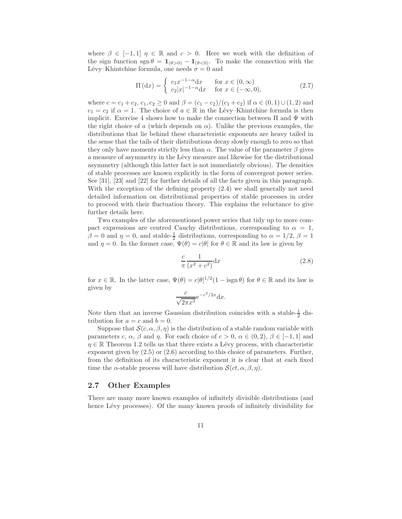where  $\beta \in [-1,1]$   $\eta \in \mathbb{R}$  and  $c > 0$ . Here we work with the definition of the sign function sgn  $\theta = \mathbf{1}_{(\theta > 0)} - \mathbf{1}_{(\theta < 0)}$ . To make the connection with the Lévy–Khintchine formula, one needs  $\sigma = 0$  and

$$
\Pi(\mathrm{d}x) = \begin{cases} c_1 x^{-1-\alpha} \mathrm{d}x & \text{for } x \in (0,\infty) \\ c_2 |x|^{-1-\alpha} \mathrm{d}x & \text{for } x \in (-\infty,0), \end{cases}
$$
(2.7)

where  $c = c_1 + c_2$ ,  $c_1, c_2 \ge 0$  and  $\beta = (c_1 - c_2)/(c_1 + c_2)$  if  $\alpha \in (0, 1) \cup (1, 2)$  and  $c_1 = c_2$  if  $\alpha = 1$ . The choice of  $a \in \mathbb{R}$  in the Lévy–Khintchine formula is then implicit. Exercise 4 shows how to make the connection between  $\Pi$  and  $\Psi$  with the right choice of a (which depends on  $\alpha$ ). Unlike the previous examples, the distributions that lie behind these characteristic exponents are heavy tailed in the sense that the tails of their distributions decay slowly enough to zero so that they only have moments strictly less than  $\alpha$ . The value of the parameter  $\beta$  gives a measure of asymmetry in the L´evy measure and likewise for the distributional asymmetry (although this latter fact is not immediately obvious). The densities of stable processes are known explicitly in the form of convergent power series. See [31], [23] and [22] for further details of all the facts given in this paragraph. With the exception of the defining property  $(2.4)$  we shall generally not need detailed information on distributional properties of stable processes in order to proceed with their fluctuation theory. This explains the reluctance to give further details here.

Two examples of the aforementioned power series that tidy up to more compact expressions are centred Cauchy distributions, corresponding to  $\alpha = 1$ ,  $\beta = 0$  and  $\eta = 0$ , and stable- $\frac{1}{2}$  distributions, corresponding to  $\alpha = 1/2$ ,  $\beta = 1$ and  $\eta = 0$ . In the former case,  $\Psi(\theta) = c|\theta|$  for  $\theta \in \mathbb{R}$  and its law is given by

$$
\frac{c}{\pi} \frac{1}{(x^2 + c^2)} \mathrm{d}x \tag{2.8}
$$

for  $x \in \mathbb{R}$ . In the latter case,  $\Psi(\theta) = c|\theta|^{1/2}(1 - \text{isgn }\theta)$  for  $\theta \in \mathbb{R}$  and its law is given by

$$
\frac{c}{\sqrt{2\pi x^3}} e^{-c^2/2x} dx.
$$

Note then that an inverse Gaussian distribution coincides with a stable- $\frac{1}{2}$  distribution for  $a = c$  and  $b = 0$ .

Suppose that  $\mathcal{S}(c, \alpha, \beta, \eta)$  is the distribution of a stable random variable with parameters c,  $\alpha$ ,  $\beta$  and  $\eta$ . For each choice of  $c > 0$ ,  $\alpha \in (0, 2)$ ,  $\beta \in [-1, 1]$  and  $\eta \in \mathbb{R}$  Theorem 1.2 tells us that there exists a Lévy process, with characteristic exponent given by (2.5) or (2.6) according to this choice of parameters. Further, from the definition of its characteristic exponent it is clear that at each fixed time the  $\alpha$ -stable process will have distribution  $\mathcal{S}(ct, \alpha, \beta, \eta)$ .

#### 2.7 Other Examples

There are many more known examples of infinitely divisible distributions (and hence Lévy processes). Of the many known proofs of infinitely divisibility for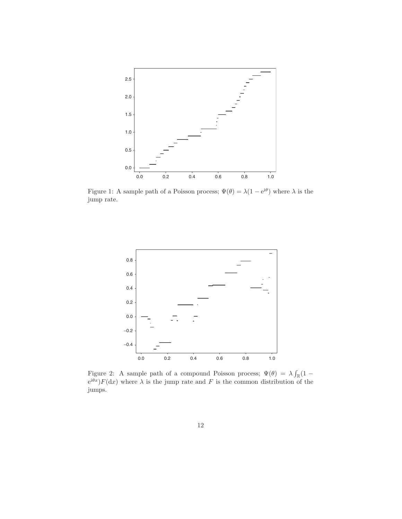

Figure 1: A sample path of a Poisson process;  $\Psi(\theta) = \lambda(1 - e^{i\theta})$  where  $\lambda$  is the jump rate.



Figure 2: A sample path of a compound Poisson process;  $\Psi(\theta) = \lambda \int_{\mathbb{R}} (1 - \theta)^2 dx$  $e^{i\theta x}$ ) $F(dx)$  where  $\lambda$  is the jump rate and F is the common distribution of the jumps.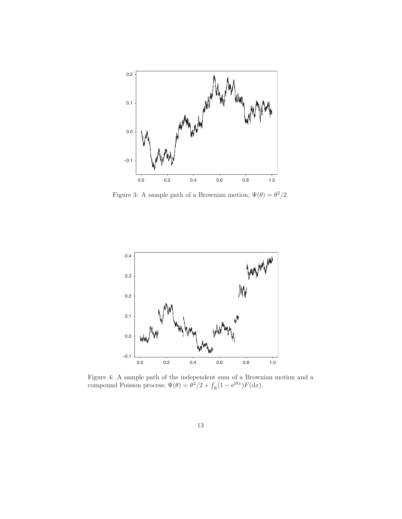

Figure 3: A sample path of a Brownian motion;  $\Psi(\theta) = \theta^2/2$ .



Figure 4: A sample path of the independent sum of a Brownian motion and a compound Poisson process;  $\Psi(\theta) = \theta^2/2 + \int_{\mathbb{R}} (1 - e^{i\theta x}) F(dx)$ .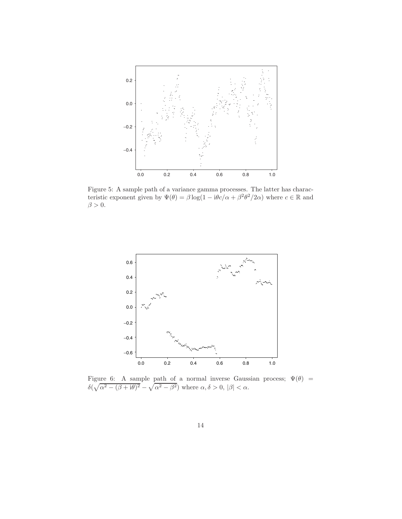

Figure 5: A sample path of a variance gamma processes. The latter has characteristic exponent given by  $\Psi(\theta) = \beta \log(1 - i\theta c/\alpha + \beta^2 \theta^2/2\alpha)$  where  $c \in \mathbb{R}$  and  $\beta > 0$ .



Figure 6: A sample path of a normal inverse Gaussian process;  $\Psi(\theta)$  =  $\delta(\sqrt{\alpha^2 - (\beta + i\theta)^2} - \sqrt{\alpha^2 - \beta^2})$  where  $\alpha, \delta > 0, |\beta| < \alpha$ .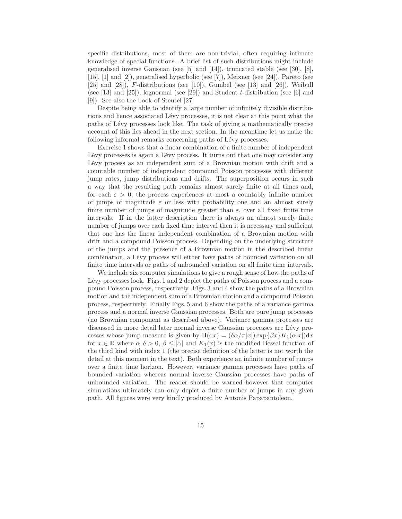specific distributions, most of them are non-trivial, often requiring intimate knowledge of special functions. A brief list of such distributions might include generalised inverse Gaussian (see  $[5]$  and  $[14]$ ), truncated stable (see  $[30]$ ,  $[8]$ , [15], [1] and [2]), generalised hyperbolic (see [7]), Meixner (see [24]), Pareto (see  $[25]$  and  $[28]$ ), F-distributions (see [10]), Gumbel (see [13] and [26]), Weibull (see [13] and [25]), lognormal (see [29]) and Student t-distribution (see [6] and [9]). See also the book of Steutel [27]

Despite being able to identify a large number of infinitely divisible distributions and hence associated Lévy processes, it is not clear at this point what the paths of L´evy processes look like. The task of giving a mathematically precise account of this lies ahead in the next section. In the meantime let us make the following informal remarks concerning paths of Lévy processes.

Exercise 1 shows that a linear combination of a finite number of independent Lévy processes is again a Lévy process. It turns out that one may consider any Lévy process as an independent sum of a Brownian motion with drift and a countable number of independent compound Poisson processes with different jump rates, jump distributions and drifts. The superposition occurs in such a way that the resulting path remains almost surely finite at all times and, for each  $\varepsilon > 0$ , the process experiences at most a countably infinite number of jumps of magnitude  $\varepsilon$  or less with probability one and an almost surely finite number of jumps of magnitude greater than  $\varepsilon$ , over all fixed finite time intervals. If in the latter description there is always an almost surely finite number of jumps over each fixed time interval then it is necessary and sufficient that one has the linear independent combination of a Brownian motion with drift and a compound Poisson process. Depending on the underlying structure of the jumps and the presence of a Brownian motion in the described linear combination, a Lévy process will either have paths of bounded variation on all finite time intervals or paths of unbounded variation on all finite time intervals.

We include six computer simulations to give a rough sense of how the paths of Lévy processes look. Figs. 1 and 2 depict the paths of Poisson process and a compound Poisson process, respectively. Figs. 3 and 4 show the paths of a Brownian motion and the independent sum of a Brownian motion and a compound Poisson process, respectively. Finally Figs. 5 and 6 show the paths of a variance gamma process and a normal inverse Gaussian processes. Both are pure jump processes (no Brownian component as described above). Variance gamma processes are discussed in more detail later normal inverse Gaussian processes are Lévy processes whose jump measure is given by  $\Pi(dx) = (\delta \alpha / \pi |x|) \exp{\{\beta x\}} K_1(\alpha |x|) dx$ for  $x \in \mathbb{R}$  where  $\alpha, \delta > 0, \beta \leq |\alpha|$  and  $K_1(x)$  is the modified Bessel function of the third kind with index 1 (the precise definition of the latter is not worth the detail at this moment in the text). Both experience an infinite number of jumps over a finite time horizon. However, variance gamma processes have paths of bounded variation whereas normal inverse Gaussian processes have paths of unbounded variation. The reader should be warned however that computer simulations ultimately can only depict a finite number of jumps in any given path. All figures were very kindly produced by Antonis Papapantoleon.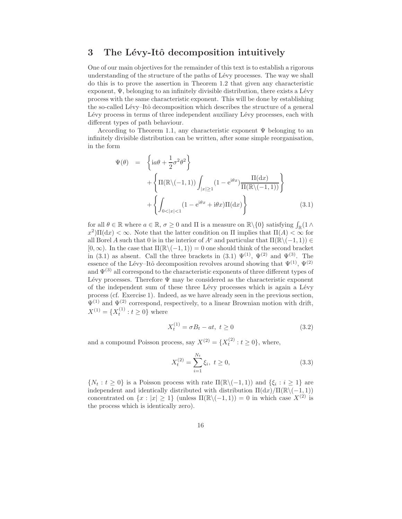## 3 The Lévy-Itô decomposition intuitively

One of our main objectives for the remainder of this text is to establish a rigorous understanding of the structure of the paths of Lévy processes. The way we shall do this is to prove the assertion in Theorem 1.2 that given any characteristic exponent,  $\Psi$ , belonging to an infinitely divisible distribution, there exists a Lévy process with the same characteristic exponent. This will be done by establishing the so-called Lévy–Itô decomposition which describes the structure of a general Lévy process in terms of three independent auxiliary Lévy processes, each with different types of path behaviour.

According to Theorem 1.1, any characteristic exponent  $\Psi$  belonging to an infinitely divisible distribution can be written, after some simple reorganisation, in the form

$$
\Psi(\theta) = \left\{ i a \theta + \frac{1}{2} \sigma^2 \theta^2 \right\} \n+ \left\{ \Pi(\mathbb{R} \setminus (-1, 1)) \int_{|x| \ge 1} (1 - e^{i\theta x}) \frac{\Pi(dx)}{\Pi(\mathbb{R} \setminus (-1, 1))} \right\} \n+ \left\{ \int_{0 < |x| < 1} (1 - e^{i\theta x} + i\theta x) \Pi(dx) \right\}
$$
\n(3.1)

for all  $\theta \in \mathbb{R}$  where  $a \in \mathbb{R}$ ,  $\sigma \ge 0$  and  $\Pi$  is a measure on  $\mathbb{R} \setminus \{0\}$  satisfying  $\int_{\mathbb{R}} (1 \wedge$  $(x^2) \Pi(dx) < \infty$ . Note that the latter condition on  $\Pi$  implies that  $\Pi(A) < \infty$  for all Borel A such that 0 is in the interior of  $A^c$  and particular that  $\Pi(\mathbb{R}\setminus (-1, 1)) \in$  $[0, \infty)$ . In the case that  $\Pi(\mathbb{R}\setminus (-1, 1)) = 0$  one should think of the second bracket in (3.1) as absent. Call the three brackets in (3.1)  $\Psi^{(1)}$ ,  $\Psi^{(2)}$  and  $\Psi^{(3)}$ . The essence of the Lévy–Itô decomposition revolves around showing that  $\Psi^{(1)}$ ,  $\Psi^{(2)}$ and  $\Psi^{(3)}$  all correspond to the characteristic exponents of three different types of Lévy processes. Therefore  $\Psi$  may be considered as the characteristic exponent of the independent sum of these three Lévy processes which is again a Lévy process (cf. Exercise 1). Indeed, as we have already seen in the previous section,  $\Psi^{(1)}$  and  $\Psi^{(2)}$  correspond, respectively, to a linear Brownian motion with drift,  $X^{(1)} = \{X_t^{(1)} : t \ge 0\}$  where

$$
X_t^{(1)} = \sigma B_t - at, \ t \ge 0 \tag{3.2}
$$

and a compound Poisson process, say  $X^{(2)} = \{X_t^{(2)} : t \ge 0\}$ , where,

$$
X_t^{(2)} = \sum_{i=1}^{N_t} \xi_i, \ t \ge 0,
$$
\n(3.3)

 $\{N_t : t \geq 0\}$  is a Poisson process with rate  $\Pi(\mathbb{R} \setminus (-1,1))$  and  $\{\xi_i : i \geq 1\}$  are independent and identically distributed with distribution  $\Pi(dx)/\Pi(\mathbb{R}\setminus(-1,1))$ concentrated on  $\{x : |x| > 1\}$  (unless  $\Pi(\mathbb{R}\setminus(-1,1)) = 0$  in which case  $X^{(2)}$  is the process which is identically zero).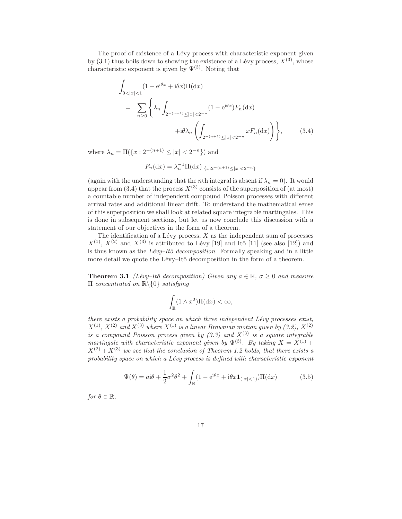The proof of existence of a Lévy process with characteristic exponent given by (3.1) thus boils down to showing the existence of a Lévy process,  $X^{(3)}$ , whose characteristic exponent is given by  $\Psi^{(3)}$ . Noting that

$$
\int_{0<|x|<1} (1 - e^{i\theta x} + i\theta x) \Pi(dx)
$$
\n
$$
= \sum_{n\geq 0} \left\{ \lambda_n \int_{2^{-(n+1)} \leq |x| < 2^{-n}} (1 - e^{i\theta x}) F_n(dx) + i\theta \lambda_n \left( \int_{2^{-(n+1)} \leq |x| < 2^{-n}} x F_n(dx) \right) \right\},
$$
\n(3.4)

where  $\lambda_n = \Pi(\{x : 2^{-(n+1)} \le |x| < 2^{-n}\})$  and

$$
F_n(\mathrm{d}x) = \lambda_n^{-1} \Pi(\mathrm{d}x)|_{\{x:2^{-(n+1)} \le |x| < 2^{-n}\}}
$$

(again with the understanding that the *n*th integral is absent if  $\lambda_n = 0$ ). It would appear from (3.4) that the process  $X^{(3)}$  consists of the superposition of (at most) a countable number of independent compound Poisson processes with different arrival rates and additional linear drift. To understand the mathematical sense of this superposition we shall look at related square integrable martingales. This is done in subsequent sections, but let us now conclude this discussion with a statement of our objectives in the form of a theorem.

The identification of a Lévy process,  $X$  as the independent sum of processes  $X^{(1)}$ ,  $X^{(2)}$  and  $X^{(3)}$  is attributed to Lévy [19] and Itô [11] (see also [12]) and is thus known as the *Lévy–Itô decomposition*. Formally speaking and in a little more detail we quote the Lévy–Itô decomposition in the form of a theorem.

**Theorem 3.1** *(Lévy–Itô decomposition) Given any*  $a \in \mathbb{R}$ ,  $\sigma \geq 0$  *and measure* Π *concentrated on* R\{0} *satisfying*

$$
\int_{\mathbb{R}} (1 \wedge x^2) \Pi(dx) < \infty,
$$

*there exists a probability space on which three independent Lévy processes exist,*  $X^{(1)}$ ,  $X^{(2)}$  and  $X^{(3)}$  where  $X^{(1)}$  is a linear Brownian motion given by  $(3.2)$ ,  $X^{(2)}$ *is a compound Poisson process given by*  $(3.3)$  *and*  $X^{(3)}$  *is a square integrable martingale with characteristic exponent given by*  $\Psi^{(3)}$ *. By taking*  $X = X^{(1)} +$  $X^{(2)} + X^{(3)}$  we see that the conclusion of Theorem 1.2 holds, that there exists a probability space on which a Lévy process is defined with characteristic exponent

$$
\Psi(\theta) = a\mathbf{i}\theta + \frac{1}{2}\sigma^2\theta^2 + \int_{\mathbb{R}} (1 - e^{\mathbf{i}\theta x} + \mathbf{i}\theta x \mathbf{1}_{(|x| < 1)}) \Pi(\mathrm{d}x) \tag{3.5}
$$

*for*  $\theta \in \mathbb{R}$ *.*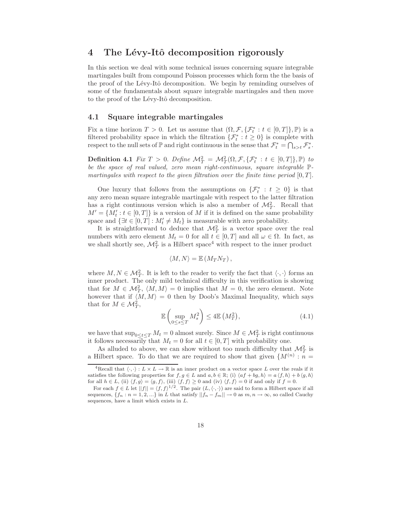## 4 The Lévy-Itô decomposition rigorously

In this section we deal with some technical issues concerning square integrable martingales built from compound Poisson processes which form the the basis of the proof of the Lévy-Itô decomposition. We begin by reminding ourselves of some of the fundamentals about square integrable martingales and then move to the proof of the Lévy-Itô decomposition.

#### 4.1 Square integrable martingales

Fix a time horizon  $T > 0$ . Let us assume that  $(\Omega, \mathcal{F}, \{\mathcal{F}_t^* : t \in [0, T]\}, \mathbb{P})$  is a filtered probability space in which the filtration  $\{\mathcal{F}_t^* : t \geq 0\}$  is complete with respect to the null sets of  $\mathbb P$  and right continuous in the sense that  $\mathcal F_t^* = \bigcap_{s>t} \mathcal F_s^*$ .

**Definition 4.1** *Fix*  $T > 0$ . *Define*  $\mathcal{M}_T^2 = \mathcal{M}_T^2(\Omega, \mathcal{F}, \{\mathcal{F}_t^* : t \in [0, T]\}, \mathbb{P})$  *to be the space of real valued, zero mean right-continuous, square integrable* P*martingales with respect to the given filtration over the finite time period*  $[0, T]$ .

One luxury that follows from the assumptions on  $\{\mathcal{F}_t^* : t \geq 0\}$  is that any zero mean square integrable martingale with respect to the latter filtration has a right continuous version which is also a member of  $\mathcal{M}_T^2$ . Recall that  $M' = \{M'_t : t \in [0, T]\}$  is a version of M if it is defined on the same probability space and  $\{\exists t \in [0, T] : M'_t \neq M_t\}$  is measurable with zero probability.

It is straightforward to deduce that  $\mathcal{M}_T^2$  is a vector space over the real numbers with zero element  $M_t = 0$  for all  $t \in [0, T]$  and all  $\omega \in \Omega$ . In fact, as we shall shortly see,  $\mathcal{M}_T^2$  is a Hilbert space<sup>4</sup> with respect to the inner product

$$
\langle M, N \rangle = \mathbb{E} \left( M_T N_T \right),
$$

where  $M, N \in \mathcal{M}_T^2$ . It is left to the reader to verify the fact that  $\langle \cdot, \cdot \rangle$  forms an inner product. The only mild technical difficulty in this verification is showing that for  $M \in \mathcal{M}_{T}^2$ ,  $\langle M, M \rangle = 0$  implies that  $M = 0$ , the zero element. Note however that if  $\langle M, M \rangle = 0$  then by Doob's Maximal Inequality, which says that for  $M \in \mathcal{M}_T^2$ ,

$$
\mathbb{E}\left(\sup_{0\leq s\leq T}M_s^2\right)\leq 4\mathbb{E}\left(M_T^2\right),\tag{4.1}
$$

we have that  $\sup_{0 \le t \le T} M_t = 0$  almost surely. Since  $M \in \mathcal{M}_T^2$  is right continuous it follows necessarily that  $M_t = 0$  for all  $t \in [0, T]$  with probability one.

As alluded to above, we can show without too much difficulty that  $\mathcal{M}_T^2$  is a Hilbert space. To do that we are required to show that given  $\{M^{(n)}: n =$ 

<sup>&</sup>lt;sup>4</sup>Recall that  $\langle \cdot, \cdot \rangle : L \times L \to \mathbb{R}$  is an inner product on a vector space L over the reals if it satisfies the following properties for  $f, g \in L$  and  $a, b \in \mathbb{R}$ ; (i)  $\langle af + bg, h \rangle = a \langle f, h \rangle + b \langle g, h \rangle$ for all  $h \in L$ , (ii)  $\langle f, g \rangle = \langle g, f \rangle$ , (iii)  $\langle f, f \rangle \ge 0$  and (iv)  $\langle f, f \rangle = 0$  if and only if  $f = 0$ .

For each  $f \in L$  let  $||f|| = \langle f, f \rangle^{1/2}$ . The pair  $(L, \langle \cdot, \cdot \rangle)$  are said to form a Hilbert space if all sequences,  $\{f_n : n = 1, 2, ...\}$  in L that satisfy  $||f_n - f_m|| \to 0$  as  $m, n \to \infty$ , so called Cauchy sequences, have a limit which exists in L.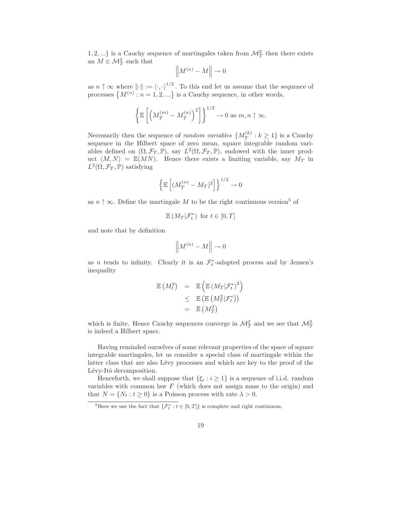1, 2, ...} is a Cauchy sequence of martingales taken from  $\mathcal{M}_T^2$  then there exists an  $M \in \mathcal{M}^2$  such that

$$
\left\|M^{(n)}-M\right\|\to 0
$$

as  $n \uparrow \infty$  where  $\|\cdot\| := \langle \cdot, \cdot \rangle^{1/2}$ . To this end let us assume that the sequence of processes  $\{M^{(n)}: n = 1, 2, ...\}$  is a Cauchy sequence, in other words,

$$
\left\{\mathbb{E}\left[\left(M_T^{(m)} - M_T^{(n)}\right)^2\right]\right\}^{1/2} \to 0 \text{ as } m, n \uparrow \infty.
$$

Necessarily then the sequence of *random variables*  $\{M_T^{(k)}\}$  $T^{(k)}$  :  $k \geq 1$ } is a Cauchy sequence in the Hilbert space of zero mean, square integrable random variables defined on  $(\Omega, \mathcal{F}_T, \mathbb{P})$ , say  $L^2(\Omega, \mathcal{F}_T, \mathbb{P})$ , endowed with the inner product  $\langle M, N \rangle = \mathbb{E}(MN)$ . Hence there exists a limiting variable, say  $M_T$  in  $L^2(\Omega, \mathcal{F}_T, \mathbb{P})$  satisfying

$$
\left\{\mathbb{E}\left[ (M_T^{(n)} - M_T)^2 \right] \right\}^{1/2} \to 0
$$

as  $n \uparrow \infty$ . Define the martingale M to be the right continuous version<sup>5</sup> of

$$
\mathbb{E}\left(M_T|\mathcal{F}_t^*\right) \text{ for } t \in [0,T]
$$

and note that by definition

$$
\left\|M^{(n)}-M\right\|\to 0
$$

as *n* tends to infinity. Clearly it is an  $\mathcal{F}_t^*$ -adapted process and by Jensen's inequality

$$
\mathbb{E}\left(M_t^2\right) = \mathbb{E}\left(\mathbb{E}\left(M_T|\mathcal{F}_t^*\right)^2\right) \n\leq \mathbb{E}\left(\mathbb{E}\left(M_T^2|\mathcal{F}_t^*\right)\right) \n= \mathbb{E}\left(M_T^2\right)
$$

which is finite. Hence Cauchy sequences converge in  $\mathcal{M}_T^2$  and we see that  $\mathcal{M}_T^2$ is indeed a Hilbert space.

Having reminded ourselves of some relevant properties of the space of square integrable martingales, let us consider a special class of martingale within the latter class that are also Lévy processes and which are key to the proof of the Lévy-Itô decomposition.

Henceforth, we shall suppose that  $\{\xi_i : i \geq 1\}$  is a sequence of i.i.d. random variables with common law  $F$  (which does not assign mass to the origin) and that  $N = \{N_t : t \geq 0\}$  is a Poisson process with rate  $\lambda > 0$ .

<sup>&</sup>lt;sup>5</sup>Here we use the fact that  $\{\mathcal{F}_t^* : t \in [0,T]\}$  is complete and right continuous.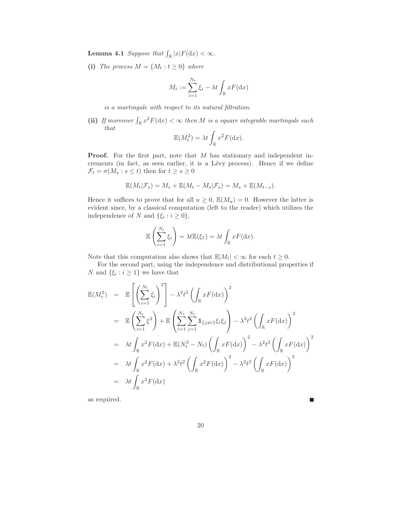**Lemma 4.1** *Suppose that*  $\int_{\mathbb{R}} |x| F(\mathrm{d}x) < \infty$ *.* 

(i) *The process*  $M = \{M_t : t \geq 0\}$  *where* 

$$
M_t := \sum_{i=1}^{N_t} \xi_i - \lambda t \int_{\mathbb{R}} x F(\mathrm{d}x)
$$

*is a martingale with respect to its natural filtration.*

(ii) If moreover  $\int_{\mathbb{R}} x^2 F(\mathrm{d}x) < \infty$  then M is a square integrable martingale such *that*

$$
\mathbb{E}(M_t^2) = \lambda t \int_{\mathbb{R}} x^2 F(\mathrm{d}x).
$$

Proof. For the first part, note that M has stationary and independent increments (in fact, as seen earlier, it is a Lévy process). Hence if we define  $\mathcal{F}_t = \sigma(M_s : s \le t)$  then for  $t \ge s \ge 0$ 

$$
\mathbb{E}(M_t|\mathcal{F}_s) = M_s + \mathbb{E}(M_t - M_s|\mathcal{F}_s) = M_s + \mathbb{E}(M_{t-s}).
$$

Hence it suffices to prove that for all  $u \geq 0$ ,  $\mathbb{E}(M_u) = 0$ . However the latter is evident since, by a classical computation (left to the reader) which utilizes the independence of N and  $\{\xi_i : i \geq 0\},\$ 

$$
\mathbb{E}\left(\sum_{i=1}^{N_t}\xi_i\right)=\lambda t\mathbb{E}(\xi_1)=\lambda t\int_{\mathbb{R}}xF(\mathrm{d}x).
$$

Note that this computation also shows that  $\mathbb{E}|M_t| < \infty$  for each  $t \geq 0$ .

For the second part, using the independence and distributional properties if N and  $\{\xi_i : i \geq 1\}$  we have that

$$
\mathbb{E}(M_t^2) = \mathbb{E}\left[\left(\sum_{i=1}^{N_t} \xi_i\right)^2\right] - \lambda^2 t^2 \left(\int_{\mathbb{R}} xF(\mathrm{d}x)\right)^2
$$
  
\n
$$
= \mathbb{E}\left(\sum_{i=1}^{N_t} \xi^2\right) + \mathbb{E}\left(\sum_{i=1}^{N_t} \sum_{j=1}^{N_t} \mathbf{1}_{\{j\neq i\}} \xi_i \xi_j\right) - \lambda^2 t^2 \left(\int_{\mathbb{R}} xF(\mathrm{d}x)\right)^2
$$
  
\n
$$
= \lambda t \int_{\mathbb{R}} x^2 F(\mathrm{d}x) + \mathbb{E}(N_t^2 - N_t) \left(\int_{\mathbb{R}} xF(\mathrm{d}x)\right)^2 - \lambda^2 t^2 \left(\int_{\mathbb{R}} xF(\mathrm{d}x)\right)^2
$$
  
\n
$$
= \lambda t \int_{\mathbb{R}} x^2 F(\mathrm{d}x) + \lambda^2 t^2 \left(\int_{\mathbb{R}} x^2 F(\mathrm{d}x)\right)^2 - \lambda^2 t^2 \left(\int_{\mathbb{R}} xF(\mathrm{d}x)\right)^2
$$
  
\n
$$
= \lambda t \int_{\mathbb{R}} x^2 F(\mathrm{d}x)
$$

as required.

П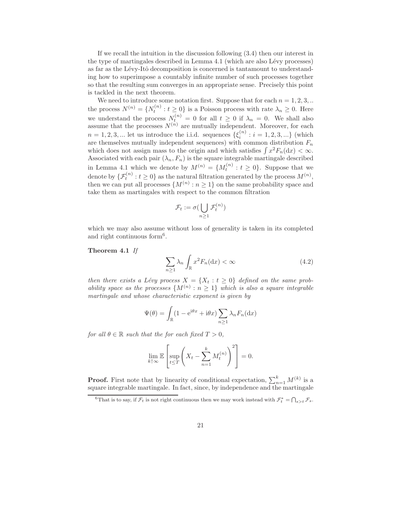If we recall the intuition in the discussion following (3.4) then our interest in the type of martingales described in Lemma 4.1 (which are also Lévy processes) as far as the Lévy-Itô decomposition is concerned is tantamount to understanding how to superimpose a countably infinite number of such processes together so that the resulting sum converges in an appropriate sense. Precisely this point is tackled in the next theorem.

We need to introduce some notation first. Suppose that for each  $n = 1, 2, 3, ...$ the process  $N^{(n)} = \{N_t^{(n)} : t \geq 0\}$  is a Poisson process with rate  $\lambda_n \geq 0$ . Here we understand the process  $N_t^{(n)} = 0$  for all  $t \geq 0$  if  $\lambda_n = 0$ . We shall also assume that the processes  $N^{(n)}$  are mutually independent. Moreover, for each  $n = 1, 2, 3, \dots$  let us introduce the i.i.d. sequences  $\{\xi_i^{(n)}\}$  $i_i^{(n)}: i = 1, 2, 3, ...\}$  (which are themselves mutually independent sequences) with common distribution  $F_n$ which does not assign mass to the origin and which satisfies  $\int x^2 F_n(\mathrm{d}x) < \infty$ . Associated with each pair  $(\lambda_n, F_n)$  is the square integrable martingale described in Lemma 4.1 which we denote by  $M^{(n)} = \{M_t^{(n)} : t \geq 0\}$ . Suppose that we denote by  $\{\mathcal{F}_t^{(n)}: t \geq 0\}$  as the natural filtration generated by the process  $M^{(n)}$ , then we can put all processes  $\{M^{(n)}: n \geq 1\}$  on the same probability space and take them as martingales with respect to the common filtration

$$
\mathcal{F}_t:=\sigma(\bigcup_{n\geq 1}\mathcal{F}_t^{(n)})
$$

which we may also assume without loss of generality is taken in its completed and right continuous form<sup>6</sup>.

#### Theorem 4.1 *If*

$$
\sum_{n\geq 1} \lambda_n \int_{\mathbb{R}} x^2 F_n(\mathrm{d}x) < \infty \tag{4.2}
$$

*then there exists a Lévy process*  $X = \{X_t : t \geq 0\}$  *defined on the same probability space as the processes*  $\{M^{(n)} : n \geq 1\}$  *which is also a square integrable martingale and whose characteristic exponent is given by*

$$
\Psi(\theta) = \int_{\mathbb{R}} (1 - e^{i\theta x} + i\theta x) \sum_{n \ge 1} \lambda_n F_n(\mathrm{d}x)
$$

*for all*  $\theta \in \mathbb{R}$  *such that the for each fixed*  $T > 0$ *,* 

$$
\lim_{k \uparrow \infty} \mathbb{E} \left[ \sup_{t \leq T} \left( X_t - \sum_{n=1}^k M_t^{(n)} \right)^2 \right] = 0.
$$

**Proof.** First note that by linearity of conditional expectation,  $\sum_{n=1}^{k} M^{(k)}$  is a square integrable martingale. In fact, since, by independence and the martingale

<sup>&</sup>lt;sup>6</sup>That is to say, if  $\mathcal{F}_t$  is not right continuous then we may work instead with  $\mathcal{F}_t^* = \bigcap_{s>t} \mathcal{F}_s$ .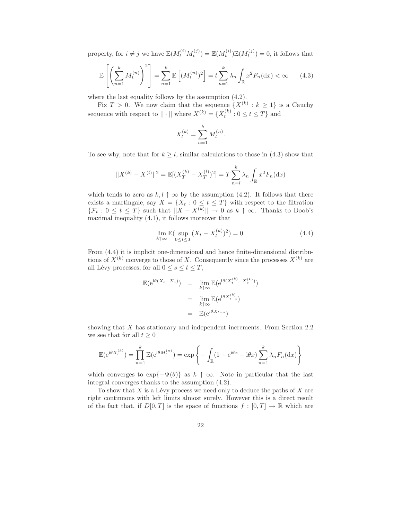property, for  $i \neq j$  we have  $\mathbb{E}(M_t^{(i)}M_t^{(j)}) = \mathbb{E}(M_t^{(i)})\mathbb{E}(M_t^{(j)}) = 0$ , it follows that

$$
\mathbb{E}\left[\left(\sum_{n=1}^{k} M_t^{(n)}\right)^2\right] = \sum_{n=1}^{k} \mathbb{E}\left[(M_t^{(n)})^2\right] = t \sum_{n=1}^{k} \lambda_n \int_{\mathbb{R}} x^2 F_n(\mathrm{d}x) < \infty \tag{4.3}
$$

where the last equality follows by the assumption (4.2).

Fix  $T > 0$ . We now claim that the sequence  $\{X^{(k)} : k \geq 1\}$  is a Cauchy sequence with respect to  $||\cdot||$  where  $X^{(k)} = \{X_t^{(k)} : 0 \le t \le T\}$  and

$$
X_t^{(k)} = \sum_{n=1}^k M_t^{(n)}.
$$

To see why, note that for  $k \geq l$ , similar calculations to those in (4.3) show that

$$
||X^{(k)} - X^{(l)}||^2 = \mathbb{E}[(X_T^{(k)} - X_T^{(l)})^2] = T \sum_{n=l}^{k} \lambda_n \int_{\mathbb{R}} x^2 F_n(\mathrm{d}x)
$$

which tends to zero as  $k, l \uparrow \infty$  by the assumption (4.2). It follows that there exists a martingale, say  $X = \{X_t : 0 \le t \le T\}$  with respect to the filtration  $\{\mathcal{F}_t: 0 \le t \le T\}$  such that  $||X - X^{(k)}|| \to 0$  as  $k \uparrow \infty$ . Thanks to Doob's maximal inequality (4.1), it follows moreover that

$$
\lim_{k \uparrow \infty} \mathbb{E}(\sup_{0 \le t \le T} (X_t - X_t^{(k)})^2) = 0. \tag{4.4}
$$

From (4.4) it is implicit one-dimensional and hence finite-dimensional distributions of  $X^{(k)}$  converge to those of X. Consequently since the processes  $X^{(k)}$  are all Lévy processes, for all  $0 \leq s \leq t \leq T$ ,

$$
\mathbb{E}(\mathrm{e}^{\mathrm{i}\theta(X_t - X_s)}) = \lim_{k \uparrow \infty} \mathbb{E}(\mathrm{e}^{\mathrm{i}\theta(X_t^{(k)} - X_s^{(k)})})
$$

$$
= \lim_{k \uparrow \infty} \mathbb{E}(\mathrm{e}^{\mathrm{i}\theta X_{t-s}^{(k)}})
$$

$$
= \mathbb{E}(\mathrm{e}^{\mathrm{i}\theta X_{t-s}})
$$

showing that X has stationary and independent increments. From Section 2.2 we see that for all  $t \geq 0$ 

$$
\mathbb{E}(\mathrm{e}^{\mathrm{i}\theta X_t^{(k)}}) = \prod_{n=1}^k \mathbb{E}(\mathrm{e}^{\mathrm{i}\theta M_t^{(n)}}) = \exp\left\{-\int_{\mathbb{R}} (1 - \mathrm{e}^{\mathrm{i}\theta x} + \mathrm{i}\theta x) \sum_{n=1}^k \lambda_n F_n(\mathrm{d}x)\right\}
$$

which converges to  $\exp{-\Psi(\theta)}$  as  $k \uparrow \infty$ . Note in particular that the last integral converges thanks to the assumption (4.2).

To show that  $X$  is a Lévy process we need only to deduce the paths of  $X$  are right continuous with left limits almost surely. However this is a direct result of the fact that, if  $D[0,T]$  is the space of functions  $f : [0,T] \to \mathbb{R}$  which are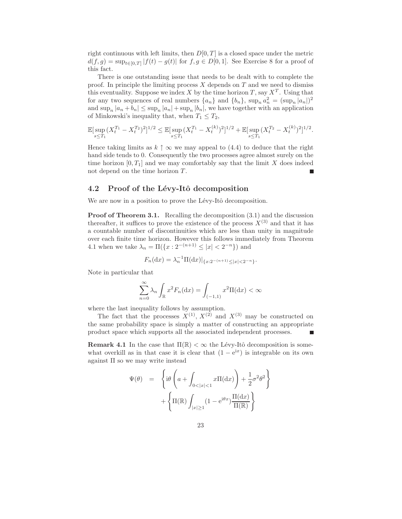right continuous with left limits, then  $D[0, T]$  is a closed space under the metric  $d(f,g) = \sup_{t \in [0,T]} |f(t) - g(t)|$  for  $f, g \in D[0,1]$ . See Exercise 8 for a proof of this fact.

There is one outstanding issue that needs to be dealt with to complete the proof. In principle the limiting process  $X$  depends on  $T$  and we need to dismiss this eventuality. Suppose we index X by the time horizon T, say  $X<sup>T</sup>$ . Using that for any two sequences of real numbers  $\{a_n\}$  and  $\{b_n\}$ ,  $\sup_n a_n^2 = (\sup_n |a_n|)^2$ and  $\sup_n |a_n + b_n| \leq \sup_n |a_n| + \sup_n |b_n|$ , we have together with an application of Minkowski's inequality that, when  $T_1 \leq T_2$ ,

$$
\mathbb{E}[\sup_{s\leq T_1} (X_t^{T_1} - X_t^{T_2})^2]^{1/2} \leq \mathbb{E}[\sup_{s\leq T_1} (X_t^{T_1} - X_t^{(k)})^2]^{1/2} + \mathbb{E}[\sup_{s\leq T_1} (X_t^{T_2} - X_t^{(k)})^2]^{1/2}.
$$

Hence taking limits as  $k \uparrow \infty$  we may appeal to (4.4) to deduce that the right hand side tends to 0. Consequently the two processes agree almost surely on the time horizon  $[0, T_1]$  and we may comfortably say that the limit X does indeed not depend on the time horizon T.

#### 4.2 Proof of the Lévy-Itô decomposition

We are now in a position to prove the Lévy-Itô decomposition.

Proof of Theorem 3.1. Recalling the decomposition (3.1) and the discussion thereafter, it suffices to prove the existence of the process  $X^{(3)}$  and that it has a countable number of discontinuities which are less than unity in magnitude over each finite time horizon. However this follows immediately from Theorem 4.1 when we take  $\lambda_n = \Pi({x : 2^{-(n+1)} \le |x| < 2^{-n}})$  and

$$
F_n(\mathrm{d}x) = \lambda_n^{-1} \Pi(\mathrm{d}x)|_{\{x:2^{-(n+1)} \le |x| < 2^{-n}\}}.
$$

Note in particular that

$$
\sum_{n=0}^{\infty} \lambda_n \int_{\mathbb{R}} x^2 F_n(\mathrm{d}x) = \int_{(-1,1)} x^2 \Pi(\mathrm{d}x) < \infty
$$

where the last inequality follows by assumption.

The fact that the processes  $X^{(1)}$ ,  $X^{(2)}$  and  $X^{(3)}$  may be constructed on the same probability space is simply a matter of constructing an appropriate product space which supports all the associated independent processes. Е

**Remark 4.1** In the case that  $\Pi(\mathbb{R}) < \infty$  the Lévy-Itô decomposition is somewhat overkill as in that case it is clear that  $(1 - e^{ix})$  is integrable on its own against  $\Pi$  so we may write instead

$$
\Psi(\theta) = \left\{ i\theta \left( a + \int_{0 < |x| < 1} x \Pi(dx) \right) + \frac{1}{2} \sigma^2 \theta^2 \right\} + \left\{ \Pi(\mathbb{R}) \int_{|x| \ge 1} (1 - e^{i\theta x}) \frac{\Pi(dx)}{\Pi(\mathbb{R})} \right\}
$$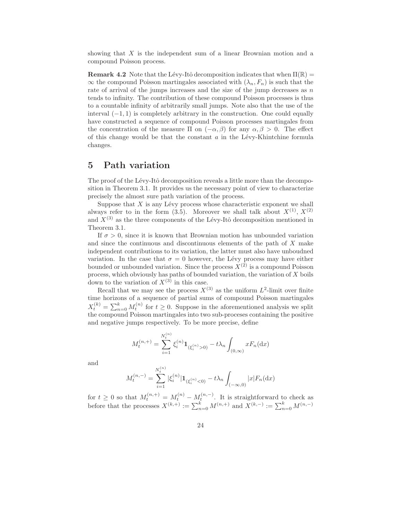showing that X is the independent sum of a linear Brownian motion and a compound Poisson process.

**Remark 4.2** Note that the Lévy-Itô decomposition indicates that when  $\Pi(\mathbb{R}) =$  $\infty$  the compound Poisson martingales associated with  $(\lambda_n, F_n)$  is such that the rate of arrival of the jumps increases and the size of the jump decreases as  $n$ tends to infinity. The contribution of these compound Poisson processes is thus to a countable infinity of arbitrarily small jumps. Note also that the use of the interval  $(-1, 1)$  is completely arbitrary in the construction. One could equally have constructed a sequence of compound Poisson processes martingales from the concentration of the measure Π on  $(-\alpha, \beta)$  for any  $\alpha, \beta > 0$ . The effect of this change would be that the constant  $a$  in the Lévy-Khintchine formula changes.

## 5 Path variation

The proof of the Lévy-Itô decomposition reveals a little more than the decomposition in Theorem 3.1. It provides us the necessary point of view to characterize precisely the almost sure path variation of the process.

Suppose that  $X$  is any Lévy process whose characteristic exponent we shall always refer to in the form (3.5). Moreover we shall talk about  $X^{(1)}$ ,  $X^{(2)}$ and  $X^{(3)}$  as the three components of the Lévy-Itô decomposition mentioned in Theorem 3.1.

If  $\sigma > 0$ , since it is known that Brownian motion has unbounded variation and since the continuous and discontinuous elements of the path of X make independent contributions to its variation, the latter must also have unboudned variation. In the case that  $\sigma = 0$  however, the Lévy process may have either bounded or unbounded variation. Since the process  $\tilde{X}^{(\tilde{2})}$  is a compound Poisson process, which obviously has paths of bounded variation, the variation of  $X$  boils down to the variation of  $X^{(3)}$  in this case.

Recall that we may see the process  $X^{(3)}$  as the uniform  $L^2$ -limit over finite time horizons of a sequence of partial sums of compound Poisson martingales  $X_t^{(k)} = \sum_{n=0}^k M_t^{(n)}$  for  $t \geq 0$ . Suppose in the aforementioned analysis we split the compound Poisson martingales into two sub-proceses containing the positive and negative jumps respectively. To be more precise, define

$$
M_t^{(n,+)} = \sum_{i=1}^{N_t^{(n)}} \xi_i^{(n)} \mathbf{1}_{(\xi_i^{(n)} > 0)} - t\lambda_n \int_{(0,\infty)} x F_n(\mathrm{d}x)
$$

and

$$
M_t^{(n,-)} = \sum_{i=1}^{N_t^{(n)}} |\xi_i^{(n)}| \mathbf{1}_{(\xi_i^{(n)} < 0)} - t\lambda_n \int_{(-\infty,0)} |x| F_n(\mathrm{d}x)
$$

for  $t \geq 0$  so that  $M_t^{(n,+)} = M_t^{(n)} - M_t^{(n,-)}$ . It is straightforward to check as before that the processes  $X^{(k,+)} := \sum_{n=0}^{k} M^{(n,+)}$  and  $X^{(k,-)} := \sum_{n=0}^{k} M^{(n,-)}$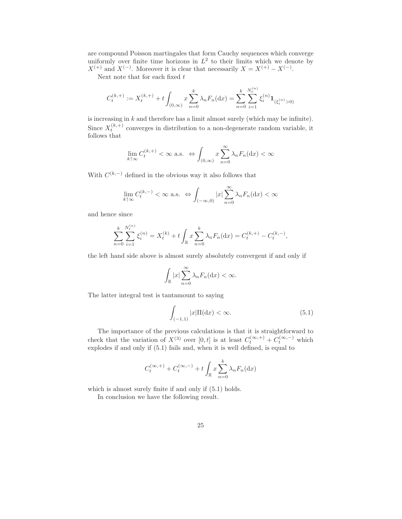are compound Poisson martingales that form Cauchy sequences which converge uniformly over finite time horizons in  $L^2$  to their limits which we denote by  $X^{(+)}$  and  $X^{(-)}$ . Moreover it is clear that necessarily  $X = X^{(+)} - X^{(-)}$ .

Next note that for each fixed  $t$ 

$$
C_t^{(k,+)} := X_t^{(k,+)} + t \int_{(0,\infty)} x \sum_{n=0}^k \lambda_n F_n(\mathrm{d}x) = \sum_{n=0}^k \sum_{i=1}^{N_t^{(n)}} \xi_i^{(n)} \mathbf{1}_{(\xi_i^{(n)}>0)}
$$

is increasing in  $k$  and therefore has a limit almost surely (which may be infinite). Since  $X_t^{(k,+)}$  converges in distribution to a non-degenerate random variable, it follows that

$$
\lim_{k \uparrow \infty} C_t^{(k, +)} < \infty \text{ a.s. } \Leftrightarrow \int_{(0, \infty)} x \sum_{n=0}^{\infty} \lambda_n F_n(\mathrm{d}x) < \infty
$$

With  $C^{(k,-)}$  defined in the obvious way it also follows that

$$
\lim_{k \uparrow \infty} C_t^{(k,-)} < \infty \text{ a.s.} \iff \int_{(-\infty,0)} |x| \sum_{n=0}^{\infty} \lambda_n F_n(\mathrm{d}x) < \infty
$$

and hence since

$$
\sum_{n=0}^{k} \sum_{i=1}^{N_t^{(n)}} \xi_i^{(n)} = X_t^{(k)} + t \int_{\mathbb{R}} x \sum_{n=0}^{k} \lambda_n F_n(\mathrm{d}x) = C_t^{(k,+)} - C_t^{(k,-)},
$$

the left hand side above is almost surely absolutely convergent if and only if

$$
\int_{\mathbb{R}} |x| \sum_{n=0}^{\infty} \lambda_n F_n(\mathrm{d}x) < \infty.
$$

The latter integral test is tantamount to saying

$$
\int_{(-1,1)} |x| \Pi(\mathrm{d}x) < \infty. \tag{5.1}
$$

The importance of the previous calculations is that it is straightforward to check that the variation of  $X^{(3)}$  over  $[0, t]$  is at least  $C_t^{(\infty, +)} + C_t^{(\infty, -)}$  which explodes if and only if (5.1) fails and, when it is well defined, is equal to

$$
C_t^{(\infty, +)} + C_t^{(\infty, -)} + t \int_{\mathbb{R}} x \sum_{n=0}^k \lambda_n F_n(\mathrm{d}x)
$$

which is almost surely finite if and only if (5.1) holds.

In conclusion we have the following result.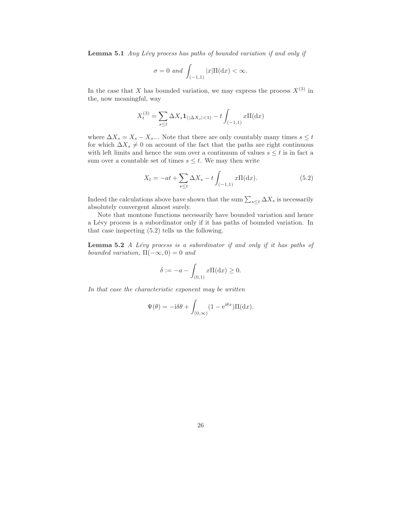Lemma 5.1 *Any Lévy process has paths of bounded variation if and only if* 

$$
\sigma = 0 \text{ and } \int_{(-1,1)} |x| \Pi(\mathrm{d}x) < \infty.
$$

In the case that X has bounded variation, we may express the process  $X^{(3)}$  in the, now meaningful, way

$$
X_t^{(3)} = \sum_{s \le t} \Delta X_s \mathbf{1}_{(|\Delta X_s| < 1)} - t \int_{(-1,1)} x \Pi(\mathrm{d}x)
$$

where  $\Delta X_s = X_s - X_{s-}$ . Note that there are only countably many times  $s \leq t$ for which  $\Delta X_s \neq 0$  on account of the fact that the paths are right continuous with left limits and hence the sum over a continuum of values  $s \leq t$  is in fact a sum over a countable set of times  $s \leq t$ . We may then write

$$
X_t = -at + \sum_{s \le t} \Delta X_s - t \int_{(-1,1)} x \Pi(dx).
$$
 (5.2)

Indeed the calculations above have shown that the sum  $\sum_{s \leq t} \Delta X_s$  is necessarily absolutely convergent almost surely.

Note that montone functions necessarily have bounded variation and hence a Lévy process is a subordinator only if it has paths of bounded variation. In that case inspecting (5.2) tells us the following.

Lemma 5.2 *A Lévy process is a subordinator if and only if it has paths of bounded variation,*  $\Pi(-\infty, 0) = 0$  *and* 

$$
\delta:=-a-\int_{(0,1)}x\Pi(\mathrm{d} x)\geq 0.
$$

*In that case the characteristic exponent may be written*

$$
\Psi(\theta) = -\mathrm{i}\delta\theta + \int_{(0,\infty)} (1 - \mathrm{e}^{\mathrm{i}\theta x}) \Pi(\mathrm{d}x).
$$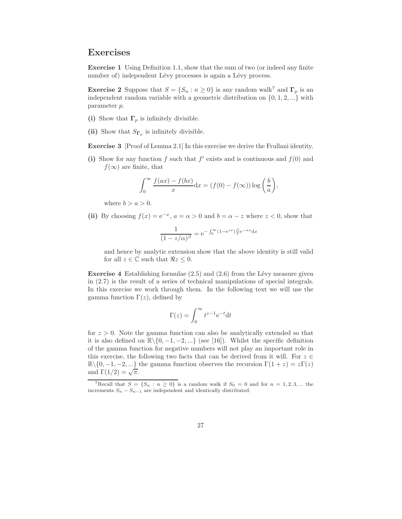## Exercises

Exercise 1 Using Definition 1.1, show that the sum of two (or indeed any finite number of) independent Lévy processes is again a Lévy process.

**Exercise 2** Suppose that  $S = \{S_n : n \geq 0\}$  is any random walk<sup>7</sup> and  $\Gamma_p$  is an independent random variable with a geometric distribution on  $\{0, 1, 2, ...\}$  with parameter p.

- (i) Show that  $\Gamma_p$  is infinitely divisible.
- (ii) Show that  $S_{\Gamma_p}$  is infinitely divisible.

Exercise 3 [Proof of Lemma 2.1] In this exercise we derive the Frullani identity.

(i) Show for any function f such that  $f'$  exists and is continuous and  $f(0)$  and  $f(\infty)$  are finite, that

$$
\int_0^\infty \frac{f(ax) - f(bx)}{x} dx = (f(0) - f(\infty)) \log \left(\frac{b}{a}\right),
$$

where  $b > a > 0$ .

(ii) By choosing  $f(x) = e^{-x}$ ,  $a = \alpha > 0$  and  $b = \alpha - z$  where  $z < 0$ , show that

$$
\frac{1}{(1-z/\alpha)^{\beta}} = e^{-\int_0^{\infty} (1-e^{zx})\frac{\beta}{x}e^{-\alpha x} dx}
$$

and hence by analytic extension show that the above identity is still valid for all  $z \in \mathbb{C}$  such that  $\Re z \leq 0$ .

**Exercise 4** Establishing formulae  $(2.5)$  and  $(2.6)$  from the Lévy measure given in (2.7) is the result of a series of technical manipulations of special integrals. In this exercise we work through them. In the following text we will use the gamma function  $\Gamma(z)$ , defined by

$$
\Gamma(z) = \int_0^\infty t^{z-1} e^{-t} dt
$$

for  $z > 0$ . Note the gamma function can also be analytically extended so that it is also defined on  $\mathbb{R}\setminus\{0,-1,-2,...\}$  (see [16]). Whilst the specific definition of the gamma function for negative numbers will not play an important role in this exercise, the following two facts that can be derived from it will. For  $z \in \mathbb{R}$  $\mathbb{R}\setminus\{0,-1,-2,...\}$  the gamma function observes the recursion  $\Gamma(1+z)=z\Gamma(z)$ and  $\Gamma(1/2) = \sqrt{\pi}$ .

<sup>&</sup>lt;sup>7</sup>Recall that  $S = \{S_n : n \ge 0\}$  is a random walk if  $S_0 = 0$  and for  $n = 1, 2, 3, ...$  the increments  $S_n - S_{n-1}$  are independent and identically distributed.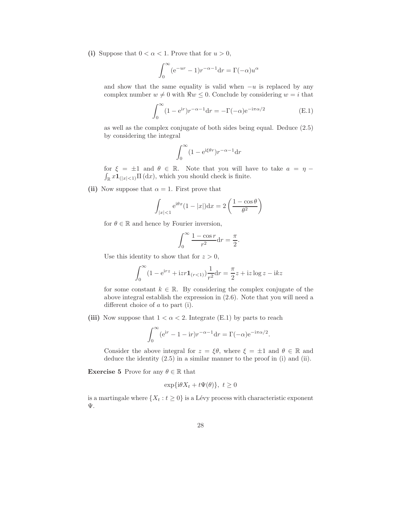(i) Suppose that  $0 < \alpha < 1$ . Prove that for  $u > 0$ ,

$$
\int_0^\infty (e^{-ur} - 1)r^{-\alpha - 1} dr = \Gamma(-\alpha)u^{\alpha}
$$

and show that the same equality is valid when  $-u$  is replaced by any complex number  $w \neq 0$  with  $\Re w \leq 0$ . Conclude by considering  $w = i$  that

$$
\int_0^\infty (1 - e^{ir}) r^{-\alpha - 1} dr = -\Gamma(-\alpha) e^{-i\pi\alpha/2}
$$
 (E.1)

as well as the complex conjugate of both sides being equal. Deduce (2.5) by considering the integral

$$
\int_0^\infty (1 - e^{i\xi \theta r}) r^{-\alpha - 1} dr
$$

for  $\xi = \pm 1$  and  $\theta \in \mathbb{R}$ . Note that you will have to take  $a = \eta$  $\int_{\mathbb{R}} x \mathbf{1}_{(|x|<1)} \Pi(dx)$ , which you should check is finite.

(ii) Now suppose that  $\alpha = 1$ . First prove that

$$
\int_{|x|<1} e^{i\theta x} (1-|x|) dx = 2\left(\frac{1-\cos\theta}{\theta^2}\right)
$$

for  $\theta \in \mathbb{R}$  and hence by Fourier inversion,

$$
\int_0^\infty \frac{1 - \cos r}{r^2} dr = \frac{\pi}{2}.
$$

Use this identity to show that for  $z > 0$ ,

$$
\int_0^{\infty} (1 - e^{irz} + izr1_{(r<1)}) \frac{1}{r^2} dr = \frac{\pi}{2} z + iz \log z - iz
$$

for some constant  $k \in \mathbb{R}$ . By considering the complex conjugate of the above integral establish the expression in (2.6). Note that you will need a different choice of a to part (i).

(iii) Now suppose that  $1 < \alpha < 2$ . Integrate (E.1) by parts to reach

$$
\int_0^\infty (e^{ir} - 1 - ir)r^{-\alpha - 1} dr = \Gamma(-\alpha)e^{-i\pi\alpha/2}.
$$

Consider the above integral for  $z = \xi \theta$ , where  $\xi = \pm 1$  and  $\theta \in \mathbb{R}$  and deduce the identity (2.5) in a similar manner to the proof in (i) and (ii).

**Exercise 5** Prove for any  $\theta \in \mathbb{R}$  that

$$
\exp{\{i\theta X_t + t\Psi(\theta)\}}, \ t \ge 0
$$

is a martingale where  $\{X_t : t \geq 0\}$  is a Lévy process with characteristic exponent Ψ.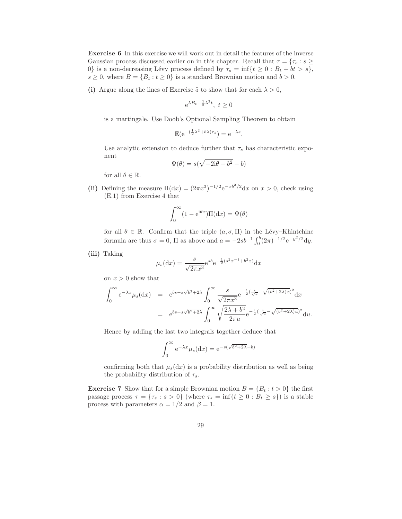Exercise 6 In this exercise we will work out in detail the features of the inverse Gaussian process discussed earlier on in this chapter. Recall that  $\tau = \{\tau_s : s \geq 0\}$ 0} is a non-decreasing Lévy process defined by  $\tau_s = \inf\{t \geq 0 : B_t + bt > s\},\$  $s \geq 0$ , where  $B = \{B_t : t \geq 0\}$  is a standard Brownian motion and  $b > 0$ .

(i) Argue along the lines of Exercise 5 to show that for each  $\lambda > 0$ ,

$$
e^{\lambda B_t - \frac{1}{2}\lambda^2 t}, \ t \ge 0
$$

is a martingale. Use Doob's Optional Sampling Theorem to obtain

$$
\mathbb{E}(\mathrm{e}^{-(\frac{1}{2}\lambda^2+b\lambda)\tau_s})=\mathrm{e}^{-\lambda s}.
$$

Use analytic extension to deduce further that  $\tau_s$  has characteristic exponent

$$
\Psi(\theta)=s(\sqrt{-2\mathrm{i}\theta+b^2}-b)
$$

for all  $\theta \in \mathbb{R}$ .

(ii) Defining the measure  $\Pi(\mathrm{d}x) = (2\pi x^3)^{-1/2} e^{-xb^2/2} dx$  on  $x > 0$ , check using (E.1) from Exercise 4 that

$$
\int_0^\infty (1 - e^{i\theta x}) \Pi(dx) = \Psi(\theta)
$$

for all  $\theta \in \mathbb{R}$ . Confirm that the triple  $(a, \sigma, \Pi)$  in the Lévy–Khintchine formula are thus  $\sigma = 0$ ,  $\Pi$  as above and  $a = -2sb^{-1} \int_0^b (2\pi)^{-1/2} e^{-y^2/2} dy$ .

(iii) Taking

$$
\mu_s(\mathrm{d}x) = \frac{s}{\sqrt{2\pi x^3}} e^{sb} e^{-\frac{1}{2}(s^2 x^{-1} + b^2 x)} \mathrm{d}x
$$

on  $x > 0$  show that

$$
\int_0^{\infty} e^{-\lambda x} \mu_s(dx) = e^{bs - s\sqrt{b^2 + 2\lambda}} \int_0^{\infty} \frac{s}{\sqrt{2\pi x^3}} e^{-\frac{1}{2}(\frac{s}{\sqrt{x}} - \sqrt{(b^2 + 2\lambda)x})^2} dx
$$
  
=  $e^{bs - s\sqrt{b^2 + 2\lambda}} \int_0^{\infty} \sqrt{\frac{2\lambda + b^2}{2\pi u}} e^{-\frac{1}{2}(\frac{s}{\sqrt{u}} - \sqrt{(b^2 + 2\lambda)u})^2} du.$ 

Hence by adding the last two integrals together deduce that

$$
\int_0^\infty e^{-\lambda x} \mu_s(\mathrm{d}x) = e^{-s(\sqrt{b^2 + 2\lambda} - b)}
$$

confirming both that  $\mu_s(dx)$  is a probability distribution as well as being the probability distribution of  $\tau_s$ .

**Exercise 7** Show that for a simple Brownian motion  $B = \{B_t : t > 0\}$  the first passage process  $\tau = {\tau_s : s > 0}$  (where  $\tau_s = \inf\{t \geq 0 : B_t \geq s\}$ ) is a stable process with parameters  $\alpha = 1/2$  and  $\beta = 1$ .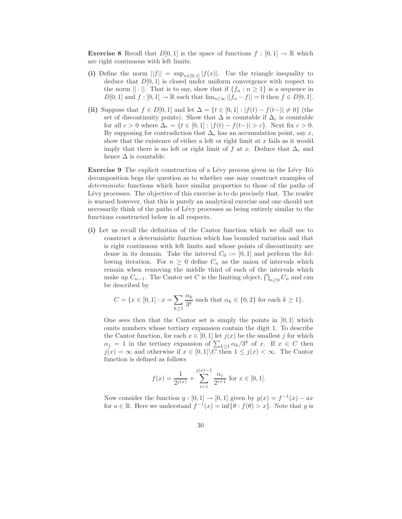**Exercise 8** Recall that  $D[0,1]$  is the space of functions  $f : [0,1] \to \mathbb{R}$  which are right continuous with left limits.

- (i) Define the norm  $||f|| = \sup_{x \in [0,1]} |f(x)|$ . Use the triangle inequality to deduce that  $D[0,1]$  is closed under uniform convergence with respect to the norm  $|| \cdot ||$ . That is to say, show that if  $\{f_n : n \geq 1\}$  is a sequence in  $D[0,1]$  and  $f: [0,1] \to \mathbb{R}$  such that  $\lim_{n \uparrow \infty} ||f_n - f|| = 0$  then  $f \in D[0,1]$ .
- (ii) Suppose that  $f \in D[0,1]$  and let  $\Delta = \{t \in [0,1] : |f(t) f(t-)| \neq 0\}$  (the set of discontinuity points). Show that  $\Delta$  is countable if  $\Delta_c$  is countable for all  $c > 0$  where  $\Delta_c = \{t \in [0, 1] : |f(t) - f(t-)| > c\}$ . Next fix  $c > 0$ . By supposing for contradiction that  $\Delta_c$  has an accumulation point, say x, show that the existence of either a left or right limit at  $x$  fails as it would imply that there is no left or right limit of f at x. Deduce that  $\Delta_c$  and hence  $\Delta$  is countable.

Exercise 9 The explicit construction of a Lévy process given in the Lévy–Itô decomposition begs the question as to whether one may construct examples of *deterministic* functions which have similar properties to those of the paths of Lévy processes. The objective of this exercise is to do precisely that. The reader is warned however, that this is purely an analytical exercise and one should not necessarily think of the paths of Lévy processes as being entirely similar to the functions constructed below in all respects.

(i) Let us recall the definition of the Cantor function which we shall use to construct a deterministic function which has bounded variation and that is right continuous with left limits and whose points of discontinuity are dense in its domain. Take the interval  $C_0 := [0, 1]$  and perform the following iteration. For  $n \geq 0$  define  $C_n$  as the union of intervals which remain when removing the middle third of each of the intervals which make up  $C_{n-1}$ . The Cantor set C is the limiting object,  $\bigcap_{n\geq 0} C_n$  and can be described by

$$
C = \{ x \in [0, 1] : x = \sum_{k \ge 1} \frac{\alpha_k}{3^k} \text{ such that } \alpha_k \in \{0, 2\} \text{ for each } k \ge 1 \}.
$$

One sees then that the Cantor set is simply the points in  $[0, 1]$  which omits numbers whose tertiary expansion contain the digit 1. To describe the Cantor function, for each  $x \in [0, 1]$  let  $j(x)$  be the smallest j for which  $\alpha_j = 1$  in the tertiary expansion of  $\sum_{k \geq 1} \alpha_k/3^k$  of x. If  $x \in C$  then  $j(x) = \infty$  and otherwise if  $x \in [0,1] \backslash C$  then  $1 \leq j(x) < \infty$ . The Cantor function is defined as follows

$$
f(x) = \frac{1}{2^{j(x)}} + \sum_{i=1}^{j(x)-1} \frac{\alpha_i}{2^{i+1}} \text{ for } x \in [0,1].
$$

Now consider the function  $g: [0,1] \to [0,1]$  given by  $g(x) = f^{-1}(x) - ax$ for  $a \in \mathbb{R}$ . Here we understand  $f^{-1}(x) = \inf \{ \theta : f(\theta) > x \}$ . Note that g is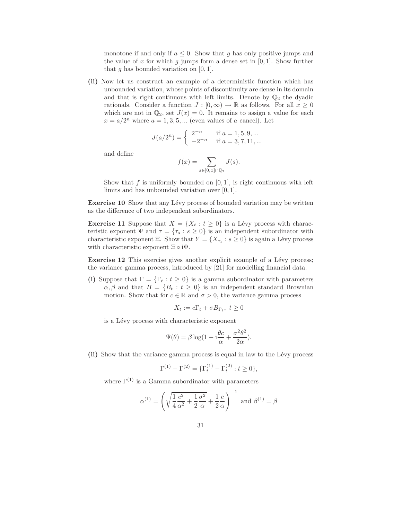monotone if and only if  $a \leq 0$ . Show that q has only positive jumps and the value of x for which g jumps form a dense set in  $[0, 1]$ . Show further that q has bounded variation on  $[0, 1]$ .

(ii) Now let us construct an example of a deterministic function which has unbounded variation, whose points of discontinuity are dense in its domain and that is right continuous with left limits. Denote by  $\mathbb{Q}_2$  the dyadic rationals. Consider a function  $J : [0, \infty) \to \mathbb{R}$  as follows. For all  $x \geq 0$ which are not in  $\mathbb{Q}_2$ , set  $J(x) = 0$ . It remains to assign a value for each  $x = a/2^n$  where  $a = 1, 3, 5, ...$  (even values of a cancel). Let

$$
J(a/2^n) = \begin{cases} 2^{-n} & \text{if } a = 1, 5, 9, \dots \\ -2^{-n} & \text{if } a = 3, 7, 11, \dots \end{cases}
$$

and define

$$
f(x) = \sum_{s \in [0, x] \cap \mathbb{Q}_2} J(s).
$$

Show that  $f$  is uniformly bounded on  $[0, 1]$ , is right continuous with left limits and has unbounded variation over [0, 1].

**Exercise 10** Show that any Lévy process of bounded variation may be written as the difference of two independent subordinators.

**Exercise 11** Suppose that  $X = \{X_t : t \geq 0\}$  is a Lévy process with characteristic exponent  $\Psi$  and  $\tau = {\tau_s : s \ge 0}$  is an independent subordinator with characteristic exponent Ξ. Show that  $Y = \{X_{\tau_s} : s \geq 0\}$  is again a Lévy process with characteristic exponent  $\Xi \circ i\Psi$ .

Exercise 12 This exercise gives another explicit example of a Lévy process; the variance gamma process, introduced by [21] for modelling financial data.

(i) Suppose that  $\Gamma = {\Gamma_t : t \geq 0}$  is a gamma subordinator with parameters  $\alpha, \beta$  and that  $B = \{B_t : t \geq 0\}$  is an independent standard Brownian motion. Show that for  $c \in \mathbb{R}$  and  $\sigma > 0$ , the variance gamma process

$$
X_t := c\Gamma_t + \sigma B_{\Gamma_t}, \ t \ge 0
$$

is a Lévy process with characteristic exponent

$$
\Psi(\theta) = \beta \log(1 - i\frac{\theta c}{\alpha} + \frac{\sigma^2 \theta^2}{2\alpha}).
$$

(ii) Show that the variance gamma process is equal in law to the Lévy process

$$
\Gamma^{(1)} - \Gamma^{(2)} = {\{\Gamma_t^{(1)} - \Gamma_t^{(2)} : t \ge 0\}},
$$

where  $\Gamma^{(1)}$  is a Gamma subordinator with parameters

$$
\alpha^{(1)} = \left(\sqrt{\frac{1}{4}\frac{c^2}{\alpha^2} + \frac{1}{2}\frac{\sigma^2}{\alpha}} + \frac{1}{2}\frac{c}{\alpha}\right)^{-1} \text{ and } \beta^{(1)} = \beta
$$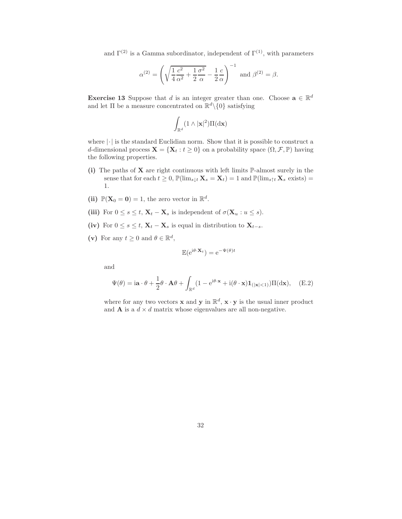and  $\Gamma^{(2)}$  is a Gamma subordinator, independent of  $\Gamma^{(1)}$ , with parameters

$$
\alpha^{(2)} = \left(\sqrt{\frac{1}{4}\frac{c^2}{\alpha^2} + \frac{1}{2}\frac{\sigma^2}{\alpha}} - \frac{1}{2}\frac{c}{\alpha}\right)^{-1} \text{ and } \beta^{(2)} = \beta.
$$

**Exercise 13** Suppose that d is an integer greater than one. Choose  $\mathbf{a} \in \mathbb{R}^d$ and let  $\Pi$  be a measure concentrated on  $\mathbb{R}^d \setminus \{0\}$  satisfying

$$
\int_{\mathbb{R}^d} (1\wedge |{\bf x}|^2) \Pi(\mathrm{d} {\bf x})
$$

where  $|\cdot|$  is the standard Euclidian norm. Show that it is possible to construct a d-dimensional process  $\mathbf{X} = \{ \mathbf{X}_t : t \geq 0 \}$  on a probability space  $(\Omega, \mathcal{F}, \mathbb{P})$  having the following properties.

- (i) The paths of  $X$  are right continuous with left limits  $\mathbb{P}\text{-almost surely in the}$ sense that for each  $t \geq 0$ ,  $\mathbb{P}(\lim_{s \downarrow t} \mathbf{X}_s = \mathbf{X}_t) = 1$  and  $\mathbb{P}(\lim_{s \uparrow t} \mathbf{X}_s$  exists) = 1.
- (ii)  $\mathbb{P}(\mathbf{X}_0 = \mathbf{0}) = 1$ , the zero vector in  $\mathbb{R}^d$ .
- (iii) For  $0 \le s \le t$ ,  $\mathbf{X}_t \mathbf{X}_s$  is independent of  $\sigma(\mathbf{X}_u : u \le s)$ .
- (iv) For  $0 \leq s \leq t$ ,  $\mathbf{X}_t \mathbf{X}_s$  is equal in distribution to  $\mathbf{X}_{t-s}$ .
- (v) For any  $t \geq 0$  and  $\theta \in \mathbb{R}^d$ ,

$$
\mathbb{E}(\mathrm{e}^{\mathrm{i}\theta\cdot\mathbf{X}_t}) = \mathrm{e}^{-\Psi(\theta)t}
$$

and

$$
\Psi(\theta) = i\mathbf{a} \cdot \theta + \frac{1}{2}\theta \cdot \mathbf{A}\theta + \int_{\mathbb{R}^d} (1 - e^{i\theta \cdot \mathbf{x}} + i(\theta \cdot \mathbf{x}) \mathbf{1}_{\left(|\mathbf{x}| < 1\right)} ) \Pi(\mathrm{d}\mathbf{x}), \quad \text{(E.2)}
$$

where for any two vectors **x** and **y** in  $\mathbb{R}^d$ , **x** · **y** is the usual inner product and **A** is a  $d \times d$  matrix whose eigenvalues are all non-negative.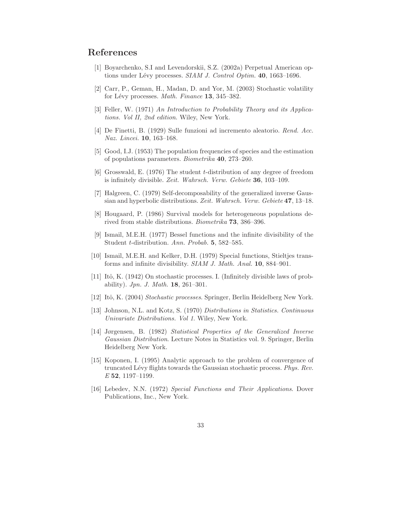# References

- [1] Boyarchenko, S.I and Levendorskii, S.Z. (2002a) Perpetual American options under Lévy processes. *SIAM J. Control Optim.* 40, 1663-1696.
- [2] Carr, P., Geman, H., Madan, D. and Yor, M. (2003) Stochastic volatility for L´evy processes. *Math. Finance* 13, 345–382.
- [3] Feller, W. (1971) *An Introduction to Probability Theory and its Applications. Vol II, 2nd edition*. Wiley, New York.
- [4] De Finetti, B. (1929) Sulle funzioni ad incremento aleatorio. *Rend. Acc. Naz. Lincei.* 10, 163–168.
- [5] Good, I.J. (1953) The population frequencies of species and the estimation of populations parameters. *Biometrika* 40, 273–260.
- [6] Grosswald, E. (1976) The student t-distribution of any degree of freedom is infinitely divisible. *Zeit. Wahrsch. Verw. Gebiete* 36, 103–109.
- [7] Halgreen, C. (1979) Self-decomposability of the generalized inverse Gaussian and hyperbolic distributions. *Zeit. Wahrsch. Verw. Gebiete* 47, 13–18.
- [8] Hougaard, P. (1986) Survival models for heterogeneous populations derived from stable distributions. *Biometrika* 73, 386–396.
- [9] Ismail, M.E.H. (1977) Bessel functions and the infinite divisibility of the Student t-distribution. *Ann. Probab.* 5, 582–585.
- [10] Ismail, M.E.H. and Kelker, D.H. (1979) Special functions, Stieltjes transforms and infinite divisibility. *SIAM J. Math. Anal.* 10, 884–901.
- [11] Itô, K. (1942) On stochastic processes. I. (Infinitely divisible laws of probability). *Jpn. J. Math.* 18, 261–301.
- [12] Itˆo, K. (2004) *Stochastic processes*. Springer, Berlin Heidelberg New York.
- [13] Johnson, N.L. and Kotz, S. (1970) *Distributions in Statistics. Continuous Univariate Distributions. Vol 1*. Wiley, New York.
- [14] Jørgensen, B. (1982) *Statistical Properties of the Generalized Inverse Gaussian Distribution*. Lecture Notes in Statistics vol. 9. Springer, Berlin Heidelberg New York.
- [15] Koponen, I. (1995) Analytic approach to the problem of convergence of truncated Lévy flights towards the Gaussian stochastic process. *Phys. Rev. E* 52, 1197–1199.
- [16] Lebedev, N.N. (1972) *Special Functions and Their Applications*. Dover Publications, Inc., New York.